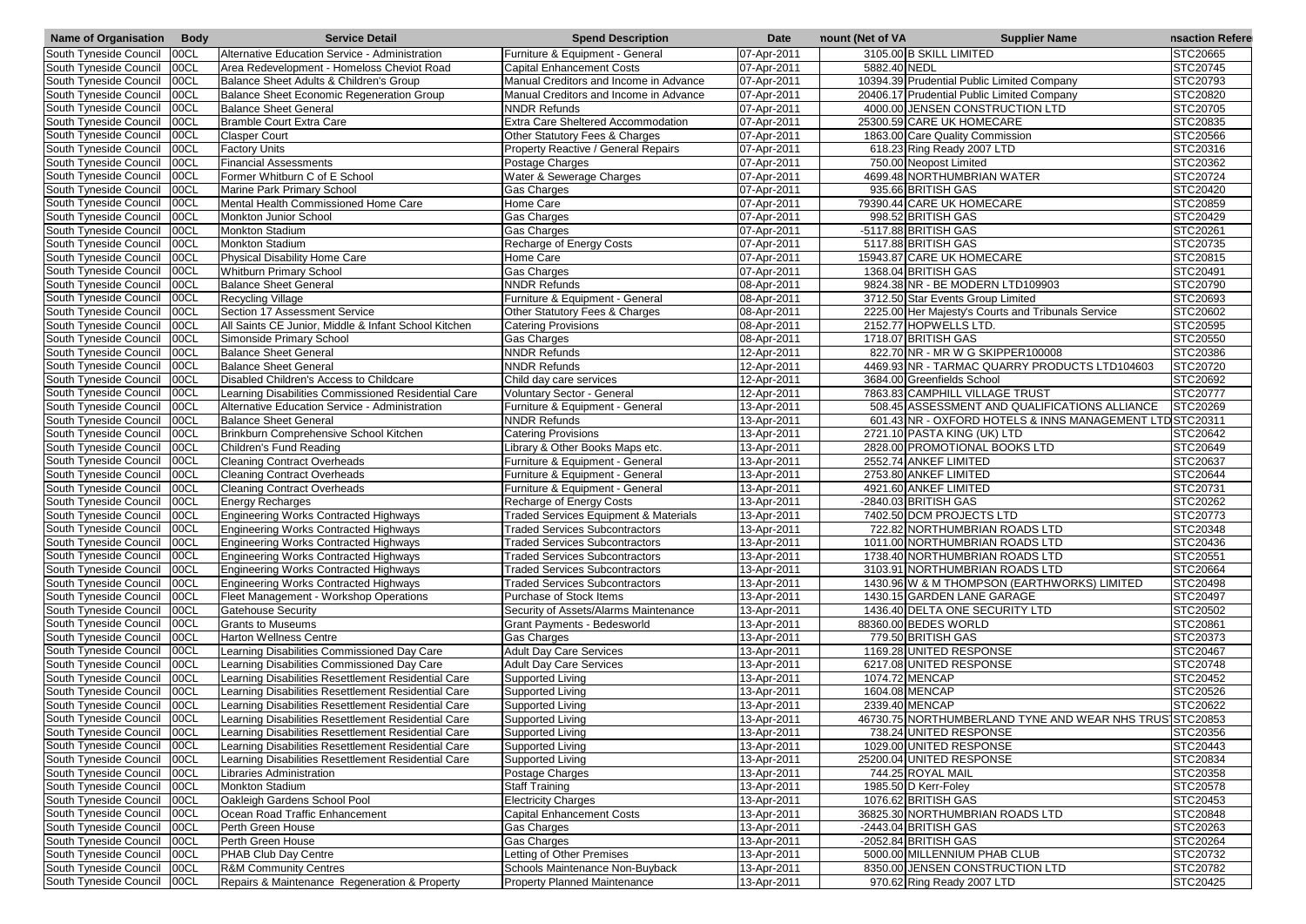| <b>Name of Organisation</b>   | <b>Body</b> | <b>Service Detail</b>                                | <b>Spend Description</b>                         | <b>Date</b> | nount (Net of VA | <b>Supplier Name</b>                               | nsaction Refere  |
|-------------------------------|-------------|------------------------------------------------------|--------------------------------------------------|-------------|------------------|----------------------------------------------------|------------------|
| South Tyneside Council        | 00CL        | Alternative Education Service - Administration       | Furniture & Equipment - General                  | 07-Apr-2011 |                  | 3105.00 B SKILL LIMITED                            | <b>STC20665</b>  |
| South Tyneside Council        | 00CL        | Area Redevelopment - Homeloss Cheviot Road           | <b>Capital Enhancement Costs</b>                 | 07-Apr-2011 | 5882.40 NEDL     |                                                    | STC20745         |
| South Tyneside Council        | 00CL        | Balance Sheet Adults & Children's Group              | Manual Creditors and Income in Advance           | 07-Apr-2011 |                  | 10394.39 Prudential Public Limited Company         | STC20793         |
| South Tyneside Council        | 00CL        | Balance Sheet Economic Regeneration Group            | Manual Creditors and Income in Advance           | 07-Apr-2011 |                  | 20406.17 Prudential Public Limited Company         | STC20820         |
| South Tyneside Council        | 00CL        | <b>Balance Sheet General</b>                         | <b>NNDR Refunds</b>                              | 07-Apr-2011 |                  | 4000.00 JENSEN CONSTRUCTION LTD                    | STC20705         |
| South Tyneside Council        | 00CL        | Bramble Court Extra Care                             | Extra Care Sheltered Accommodation               | 07-Apr-2011 |                  | 25300.59 CARE UK HOMECARE                          | STC20835         |
| South Tyneside Council        | 00CL        | <b>Clasper Court</b>                                 | Other Statutory Fees & Charges                   | 07-Apr-2011 |                  | 1863.00 Care Quality Commission                    | STC20566         |
| South Tyneside Council        | <b>OOCL</b> | <b>Factory Units</b>                                 | Property Reactive / General Repairs              | 07-Apr-2011 |                  | 618.23 Ring Ready 2007 LTD                         | STC20316         |
| South Tyneside Council        | 00CL        | <b>Financial Assessments</b>                         | Postage Charges                                  | 07-Apr-2011 |                  | 750.00 Neopost Limited                             | STC20362         |
| South Tyneside Council        | <b>OOCL</b> | Former Whitburn C of E School                        | Water & Sewerage Charges                         | 07-Apr-2011 |                  | 4699.48 NORTHUMBRIAN WATER                         | STC20724         |
| South Tyneside Council        | <b>OOCL</b> | Marine Park Primary School                           | Gas Charges                                      | 07-Apr-2011 |                  | 935.66 BRITISH GAS                                 | STC20420         |
| South Tyneside Council        | 00CL        | Mental Health Commissioned Home Care                 | Home Care                                        | 07-Apr-2011 |                  | 79390.44 CARE UK HOMECARE                          | STC20859         |
| South Tyneside Council        | 00CL        | Monkton Junior School                                | Gas Charges                                      | 07-Apr-2011 |                  | 998.52 BRITISH GAS                                 | STC20429         |
| South Tyneside Council        | 00CL        | <b>Monkton Stadium</b>                               | <b>Gas Charges</b>                               | 07-Apr-2011 |                  | -5117.88 BRITISH GAS                               | STC20261         |
| South Tyneside Council        | 00CL        | <b>Monkton Stadium</b>                               | Recharge of Energy Costs                         | 07-Apr-2011 |                  | 5117.88 BRITISH GAS                                | STC20735         |
| South Tyneside Council        | 00C1        | Physical Disability Home Care                        | Home Care                                        | 07-Apr-2011 |                  | 15943.87 CARE UK HOMECARE                          | <b>STC20815</b>  |
| South Tyneside Council        | 00CL        | <b>Whitburn Primary School</b>                       | <b>Gas Charges</b>                               | 07-Apr-2011 |                  | 1368.04 BRITISH GAS                                | STC20491         |
| South Tyneside Council        | 00CL        | <b>Balance Sheet General</b>                         | <b>NNDR Refunds</b>                              | 08-Apr-2011 |                  | 9824.38 NR - BE MODERN LTD109903                   | STC20790         |
| South Tyneside Council        | 00CL        | <b>Recycling Village</b>                             | Furniture & Equipment - General                  | 08-Apr-2011 |                  | 3712.50 Star Events Group Limited                  | STC20693         |
| South Tyneside Council        | 00C1        | Section 17 Assessment Service                        | Other Statutory Fees & Charges                   | 08-Apr-2011 |                  | 2225.00 Her Majesty's Courts and Tribunals Service | STC20602         |
| South Tyneside Council        | 00CL        | All Saints CE Junior, Middle & Infant School Kitchen | <b>Catering Provisions</b>                       | 08-Apr-2011 |                  | 2152.77 HOPWELLS LTD.                              | STC20595         |
| South Tyneside Council        | 00C1        | Simonside Primary School                             | <b>Gas Charges</b>                               | 08-Apr-2011 |                  | 1718.07 BRITISH GAS                                | STC20550         |
| South Tyneside Council        | 00CL        | <b>Balance Sheet General</b>                         | <b>NNDR Refunds</b>                              | 12-Apr-2011 |                  | 822.70 NR - MR W G SKIPPER100008                   | STC20386         |
| South Tyneside Council        | 00CL        | <b>Balance Sheet General</b>                         | <b>NNDR Refunds</b>                              | 12-Apr-2011 |                  | 4469.93 NR - TARMAC QUARRY PRODUCTS LTD104603      | STC20720         |
| South Tyneside Council        | <b>OOCL</b> | Disabled Children's Access to Childcare              | Child day care services                          | 12-Apr-2011 |                  | 3684.00 Greenfields School                         | STC20692         |
| South Tyneside Council        | 00CL        | Learning Disabilities Commissioned Residential Care  | <b>Voluntary Sector - General</b>                | 12-Apr-2011 |                  | 7863.83 CAMPHILL VILLAGE TRUST                     | STC20777         |
| South Tyneside Council        | 00CL        | Alternative Education Service - Administration       | Furniture & Equipment - General                  | 13-Apr-2011 |                  | 508.45 ASSESSMENT AND QUALIFICATIONS ALLIANCE      | STC20269         |
| South Tyneside Council        | <b>OOCL</b> | <b>Balance Sheet General</b>                         | <b>NNDR Refunds</b>                              | 13-Apr-2011 |                  | 601.43 NR - OXFORD HOTELS & INNS MANAGEMENT LT     | <b>DSTC20311</b> |
| South Tyneside Council        | 00CL        | Brinkburn Comprehensive School Kitchen               | <b>Catering Provisions</b>                       | 13-Apr-2011 |                  | 2721.10 PASTA KING (UK) LTD                        | STC20642         |
| South Tyneside Council        | <b>OOCL</b> | Children's Fund Reading                              | Library & Other Books Maps etc.                  | 13-Apr-2011 |                  | 2828.00 PROMOTIONAL BOOKS LTD                      | STC20649         |
| South Tyneside Council        | 00CL        | <b>Cleaning Contract Overheads</b>                   | Furniture & Equipment - General                  | 13-Apr-2011 |                  | 2552.74 ANKEF LIMITED                              | STC20637         |
| South Tyneside Council        | 00CL        | <b>Cleaning Contract Overheads</b>                   | Furniture & Equipment - General                  | 13-Apr-2011 |                  | 2753.80 ANKEF LIMITED                              | STC20644         |
| South Tyneside Council        | 00CL        | <b>Cleaning Contract Overheads</b>                   | Furniture & Equipment - General                  | 13-Apr-2011 |                  | 4921.60 ANKEF LIMITED                              | STC20731         |
| South Tyneside Council        | 00CL        | <b>Energy Recharges</b>                              | <b>Recharge of Energy Costs</b>                  | 13-Apr-2011 |                  | -2840.03 BRITISH GAS                               | STC20262         |
| South Tyneside Council 00CL   |             | Engineering Works Contracted Highways                | <b>Traded Services Equipment &amp; Materials</b> | 13-Apr-2011 |                  | 7402.50 DCM PROJECTS LTD                           | STC20773         |
| South Tyneside Council   00CL |             | Engineering Works Contracted Highways                | <b>Traded Services Subcontractors</b>            | 13-Apr-2011 |                  | 722.82 NORTHUMBRIAN ROADS LTD                      | STC20348         |
| South Tyneside Council   00CL |             | <b>Engineering Works Contracted Highways</b>         | <b>Traded Services Subcontractors</b>            | 13-Apr-2011 |                  | 1011.00 NORTHUMBRIAN ROADS LTD                     | STC20436         |
| South Tyneside Council        | 00CL        | <b>Engineering Works Contracted Highways</b>         | <b>Traded Services Subcontractors</b>            | 13-Apr-2011 |                  | 1738.40 NORTHUMBRIAN ROADS LTD                     | STC20551         |
| South Tyneside Council   00CL |             | <b>Engineering Works Contracted Highways</b>         | <b>Traded Services Subcontractors</b>            | 13-Apr-2011 |                  | 3103.91 NORTHUMBRIAN ROADS LTD                     | STC20664         |
| South Tyneside Council 00CL   |             | Engineering Works Contracted Highways                | <b>Traded Services Subcontractors</b>            | 13-Apr-2011 |                  | 1430.96 W & M THOMPSON (EARTHWORKS) LIMITED        | STC20498         |
| South Tyneside Council        | 00CL        | Fleet Management - Workshop Operations               | Purchase of Stock Items                          | 13-Apr-2011 |                  | 1430.15 GARDEN LANE GARAGE                         | STC20497         |
| South Tyneside Council        | 00CL        | <b>Gatehouse Security</b>                            | Security of Assets/Alarms Maintenance            | 13-Apr-2011 |                  | 1436.40 DELTA ONE SECURITY LTD                     | STC20502         |
| South Tyneside Council        | 00CL        | <b>Grants to Museums</b>                             | <b>Grant Payments - Bedesworld</b>               | 13-Apr-2011 |                  | 88360.00 BEDES WORLD                               | STC20861         |
| South Tyneside Council        | 00CL        | <b>Harton Wellness Centre</b>                        | <b>Gas Charges</b>                               | 13-Apr-2011 |                  | 779.50 BRITISH GAS                                 | STC20373         |
| South Tyneside Council        | 00CL        | Learning Disabilities Commissioned Day Care          | <b>Adult Day Care Services</b>                   | 13-Apr-2011 |                  | 1169.28 UNITED RESPONSE                            | STC20467         |
| South Tyneside Council        | 00CL        | Learning Disabilities Commissioned Day Care          | <b>Adult Day Care Services</b>                   | 13-Apr-2011 |                  | 6217.08 UNITED RESPONSE                            | STC20748         |
| South Tyneside Council 00CL   |             | Learning Disabilities Resettlement Residential Care  | Supported Living                                 | 13-Apr-2011 |                  | 1074.72 MENCAP                                     | STC20452         |
| South Tyneside Council 00CL   |             | Learning Disabilities Resettlement Residential Care  | Supported Living                                 | 13-Apr-2011 |                  | 1604.08 MENCAP                                     | STC20526         |
| South Tyneside Council        | 00CL        | Learning Disabilities Resettlement Residential Care  | Supported Living                                 | 13-Apr-2011 |                  | 2339.40 MENCAP                                     | STC20622         |
| South Tyneside Council        | 00CL        | Learning Disabilities Resettlement Residential Care  | Supported Living                                 | 13-Apr-2011 |                  | 46730.75 NORTHUMBERLAND TYNE AND WEAR NHS TRU      | SSTC20853        |
| South Tyneside Council   00CL |             | Learning Disabilities Resettlement Residential Care  | Supported Living                                 | 13-Apr-2011 |                  | 738.24 UNITED RESPONSE                             | STC20356         |
| South Tyneside Council   00CL |             | Learning Disabilities Resettlement Residential Care  | Supported Living                                 | 13-Apr-2011 |                  | 1029.00 UNITED RESPONSE                            | STC20443         |
| South Tyneside Council        | 00CL        | Learning Disabilities Resettlement Residential Care  | Supported Living                                 | 13-Apr-2011 |                  | 25200.04 UNITED RESPONSE                           | STC20834         |
| South Tyneside Council   00CL |             | <b>Libraries Administration</b>                      | Postage Charges                                  | 13-Apr-2011 |                  | 744.25 ROYAL MAIL                                  | STC20358         |
| South Tyneside Council   00CL |             | <b>Monkton Stadium</b>                               | <b>Staff Training</b>                            | 13-Apr-2011 |                  | 1985.50 D Kerr-Foley                               | STC20578         |
| South Tyneside Council 00CL   |             | Oakleigh Gardens School Pool                         | <b>Electricity Charges</b>                       | 13-Apr-2011 |                  | 1076.62 BRITISH GAS                                | STC20453         |
| South Tyneside Council        | 00CL        | Ocean Road Traffic Enhancement                       | <b>Capital Enhancement Costs</b>                 | 13-Apr-2011 |                  | 36825.30 NORTHUMBRIAN ROADS LTD                    | STC20848         |
| South Tyneside Council        | 00CL        | Perth Green House                                    | Gas Charges                                      | 13-Apr-2011 |                  | $-2443.04$ BRITISH GAS                             | STC20263         |
| South Tyneside Council        | 00CL        | Perth Green House                                    | <b>Gas Charges</b>                               | 13-Apr-2011 |                  | $-2052.84$ BRITISH GAS                             | STC20264         |
| South Tyneside Council        | 00CL        | PHAB Club Day Centre                                 | Letting of Other Premises                        | 13-Apr-2011 |                  | 5000.00 MILLENNIUM PHAB CLUB                       | STC20732         |
| South Tyneside Council        | 00CL        | <b>R&amp;M Community Centres</b>                     | Schools Maintenance Non-Buyback                  | 13-Apr-2011 |                  | 8350.00 JENSEN CONSTRUCTION LTD                    | STC20782         |
| South Tyneside Council   00CL |             | Repairs & Maintenance Regeneration & Property        | <b>Property Planned Maintenance</b>              | 13-Apr-2011 |                  | 970.62 Ring Ready 2007 LTD                         | STC20425         |
|                               |             |                                                      |                                                  |             |                  |                                                    |                  |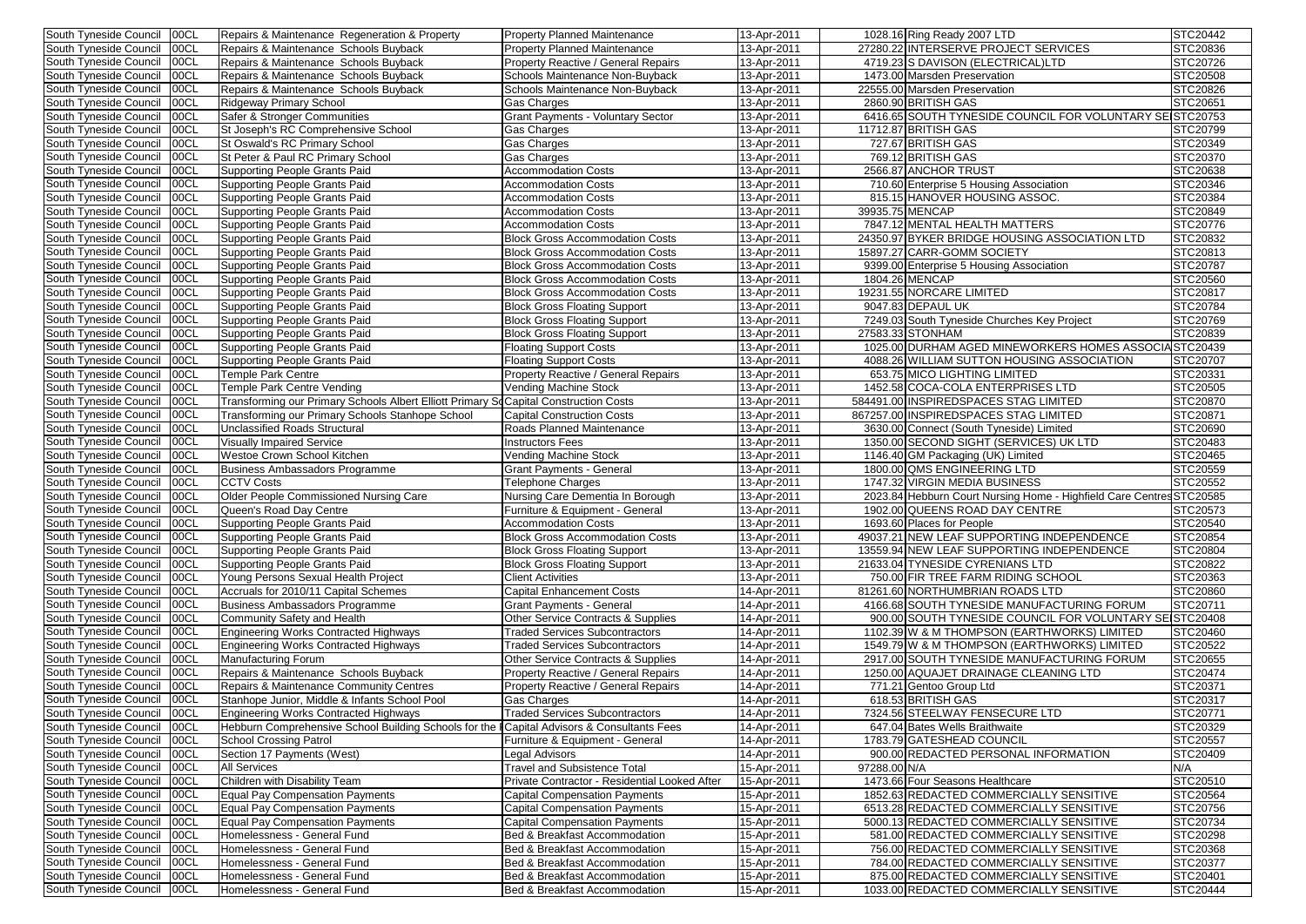| South Tyneside Council        | 00CL  | Repairs & Maintenance Regeneration & Property                                        | <b>Property Planned Maintenance</b>           | 13-Apr-2011 | 1028.16 Ring Ready 2007 LTD                                          | STC20442 |
|-------------------------------|-------|--------------------------------------------------------------------------------------|-----------------------------------------------|-------------|----------------------------------------------------------------------|----------|
| South Tyneside Council        | 00CL  | Repairs & Maintenance Schools Buyback                                                | <b>Property Planned Maintenance</b>           | 13-Apr-2011 | 27280.22 INTERSERVE PROJECT SERVICES                                 | STC20836 |
| South Tyneside Council        | 00CL  | Repairs & Maintenance Schools Buyback                                                | <b>Property Reactive / General Repairs</b>    | 13-Apr-2011 | 4719.23 S DAVISON (ELECTRICAL)LTD                                    | STC20726 |
| South Tyneside Council        | 00CL  | Repairs & Maintenance Schools Buyback                                                | Schools Maintenance Non-Buyback               | 13-Apr-2011 | 1473.00 Marsden Preservation                                         | STC20508 |
| South Tyneside Council        | 00CL  | Repairs & Maintenance Schools Buyback                                                | Schools Maintenance Non-Buyback               | 13-Apr-2011 | 22555.00 Marsden Preservation                                        | STC20826 |
| South Tyneside Council        | 00CL  | <b>Ridgeway Primary School</b>                                                       | Gas Charges                                   | 13-Apr-2011 | 2860.90 BRITISH GAS                                                  | STC20651 |
| South Tyneside Council        | 00CL  | Safer & Stronger Communities                                                         | <b>Grant Payments - Voluntary Sector</b>      | 13-Apr-2011 | 6416.65 SOUTH TYNESIDE COUNCIL FOR VOLUNTARY SE STC20753             |          |
| South Tyneside Council        | 00CL  | St Joseph's RC Comprehensive School                                                  | Gas Charges                                   | 13-Apr-2011 | 11712.87 BRITISH GAS                                                 | STC20799 |
| South Tyneside Council        | 00CL  |                                                                                      |                                               |             | 727.67 BRITISH GAS                                                   | STC20349 |
|                               |       | St Oswald's RC Primary School                                                        | Gas Charges                                   | 13-Apr-2011 |                                                                      |          |
| South Tyneside Council        | 00CL  | St Peter & Paul RC Primary School                                                    | Gas Charges                                   | 13-Apr-2011 | 769.12 BRITISH GAS                                                   | STC20370 |
| South Tyneside Council        | 00CL  | Supporting People Grants Paid                                                        | <b>Accommodation Costs</b>                    | 13-Apr-2011 | 2566.87 ANCHOR TRUST                                                 | STC20638 |
| South Tyneside Council        | 00CL  | Supporting People Grants Paid                                                        | <b>Accommodation Costs</b>                    | 13-Apr-2011 | 710.60 Enterprise 5 Housing Association                              | STC20346 |
| South Tyneside Council        | 00CL  | <b>Supporting People Grants Paid</b>                                                 | <b>Accommodation Costs</b>                    | 13-Apr-2011 | 815.15 HANOVER HOUSING ASSOC.                                        | STC20384 |
| South Tyneside Council        | 00CL  | Supporting People Grants Paid                                                        | <b>Accommodation Costs</b>                    | 13-Apr-2011 | 39935.75 MENCAP                                                      | STC20849 |
| South Tyneside Council        | 00CL  | Supporting People Grants Paid                                                        | <b>Accommodation Costs</b>                    | 13-Apr-2011 | 7847.12 MENTAL HEALTH MATTERS                                        | STC20776 |
| South Tyneside Council        | 00CL  | Supporting People Grants Paid                                                        | <b>Block Gross Accommodation Costs</b>        | 13-Apr-2011 | 24350.97 BYKER BRIDGE HOUSING ASSOCIATION LTD                        | STC20832 |
| South Tyneside Council        | 00CL  | <b>Supporting People Grants Paid</b>                                                 | <b>Block Gross Accommodation Costs</b>        | 13-Apr-2011 | 15897.27 CARR-GOMM SOCIETY                                           | STC20813 |
| South Tyneside Council        | 00CL  | <b>Supporting People Grants Paid</b>                                                 | <b>Block Gross Accommodation Costs</b>        | 13-Apr-2011 | 9399.00 Enterprise 5 Housing Association                             | STC20787 |
| South Tyneside Council        | 00CL  | <b>Supporting People Grants Paid</b>                                                 | <b>Block Gross Accommodation Costs</b>        | 13-Apr-2011 | 1804.26 MENCAP                                                       | STC20560 |
| South Tyneside Council        | 00CL  | Supporting People Grants Paid                                                        | <b>Block Gross Accommodation Costs</b>        | 13-Apr-2011 | 19231.55 NORCARE LIMITED                                             | STC20817 |
| South Tyneside Council        | 00CL  | <b>Supporting People Grants Paid</b>                                                 | <b>Block Gross Floating Support</b>           |             | 9047.83 DEPAUL UK                                                    | STC20784 |
|                               |       |                                                                                      |                                               | 13-Apr-2011 |                                                                      |          |
| South Tyneside Council        | 00CL  | Supporting People Grants Paid                                                        | <b>Block Gross Floating Support</b>           | 13-Apr-2011 | 7249.03 South Tyneside Churches Key Project                          | STC20769 |
| South Tyneside Council        | 00CL  | Supporting People Grants Paid                                                        | <b>Block Gross Floating Support</b>           | 13-Apr-2011 | 27583.33 STONHAM                                                     | STC20839 |
| South Tyneside Council        | 00CL  | Supporting People Grants Paid                                                        | <b>Floating Support Costs</b>                 | 13-Apr-2011 | 1025.00 DURHAM AGED MINEWORKERS HOMES ASSOCIASTC20439                |          |
| South Tyneside Council        | 00CL  | <b>Supporting People Grants Paid</b>                                                 | <b>Floating Support Costs</b>                 | 13-Apr-2011 | 4088.26 WILLIAM SUTTON HOUSING ASSOCIATION                           | STC20707 |
| South Tyneside Council        | 00CL  | <b>Temple Park Centre</b>                                                            | <b>Property Reactive / General Repairs</b>    | 13-Apr-2011 | 653.75 MICO LIGHTING LIMITED                                         | STC20331 |
| South Tyneside Council        | 00CL  | <b>Temple Park Centre Vending</b>                                                    | Vending Machine Stock                         | 13-Apr-2011 | 1452.58 COCA-COLA ENTERPRISES LTD                                    | STC20505 |
| South Tyneside Council        | 100CL | Transforming our Primary Schools Albert Elliott Primary SoCapital Construction Costs |                                               | 13-Apr-2011 | 584491.00 INSPIREDSPACES STAG LIMITED                                | STC20870 |
| South Tyneside Council        | 00CL  | Transforming our Primary Schools Stanhope School                                     | <b>Capital Construction Costs</b>             | 13-Apr-2011 | 867257.00 INSPIREDSPACES STAG LIMITED                                | STC20871 |
| South Tyneside Council        | 00CL  | <b>Unclassified Roads Structural</b>                                                 | <b>Roads Planned Maintenance</b>              | 13-Apr-2011 | 3630.00 Connect (South Tyneside) Limited                             | STC20690 |
| South Tyneside Council        | 00CL  | <b>Visually Impaired Service</b>                                                     | <b>Instructors Fees</b>                       | 13-Apr-2011 | 1350.00 SECOND SIGHT (SERVICES) UK LTD                               | STC20483 |
| South Tyneside Council        | 00CL  | Westoe Crown School Kitchen                                                          | Vending Machine Stock                         | 13-Apr-2011 | 1146.40 GM Packaging (UK) Limited                                    | STC20465 |
| South Tyneside Council        |       |                                                                                      |                                               |             | 1800.00 QMS ENGINEERING LTD                                          |          |
|                               | 00CL  | <b>Business Ambassadors Programme</b>                                                | <b>Grant Payments - General</b>               | 13-Apr-2011 |                                                                      | STC20559 |
| South Tyneside Council        | 00CL  | <b>CCTV Costs</b>                                                                    | Telephone Charges                             | 13-Apr-2011 | 1747.32 VIRGIN MEDIA BUSINESS                                        | STC20552 |
| South Tyneside Council        | 100CL | Older People Commissioned Nursing Care                                               | Nursing Care Dementia In Borough              | 13-Apr-2011 | 2023.84 Hebburn Court Nursing Home - Highfield Care Centres STC20585 |          |
| South Tyneside Council   00CL |       | Queen's Road Day Centre                                                              | Furniture & Equipment - General               | 13-Apr-2011 | 1902.00 QUEENS ROAD DAY CENTRE                                       | STC20573 |
| South Tyneside Council 00CL   |       | Supporting People Grants Paid                                                        | <b>Accommodation Costs</b>                    | 13-Apr-2011 | 1693.60 Places for People                                            | STC20540 |
| South Tyneside Council        | 00CL  | Supporting People Grants Paid                                                        | <b>Block Gross Accommodation Costs</b>        | 13-Apr-2011 | 49037.21 NEW LEAF SUPPORTING INDEPENDENCE                            | STC20854 |
| South Tyneside Council        | 00CL  | Supporting People Grants Paid                                                        | <b>Block Gross Floating Support</b>           | 13-Apr-2011 | 13559.94 NEW LEAF SUPPORTING INDEPENDENCE                            | STC20804 |
| South Tyneside Council        | 00CL  | Supporting People Grants Paid                                                        | <b>Block Gross Floating Support</b>           | 13-Apr-2011 | 21633.04 TYNESIDE CYRENIANS LTD                                      | STC20822 |
| South Tyneside Council        | 00CL  | Young Persons Sexual Health Project                                                  | <b>Client Activities</b>                      | 13-Apr-2011 | 750.00 FIR TREE FARM RIDING SCHOOL                                   | STC20363 |
| South Tyneside Council        | 00CL  | Accruals for 2010/11 Capital Schemes                                                 | <b>Capital Enhancement Costs</b>              | 14-Apr-2011 | 81261.60 NORTHUMBRIAN ROADS LTD                                      | STC20860 |
| South Tyneside Council        | 00CL  | Business Ambassadors Programme                                                       | Grant Payments - General                      | 14-Apr-2011 | 4166.68 SOUTH TYNESIDE MANUFACTURING FORUM                           | STC20711 |
| South Tyneside Council        | 00CL  | Community Safety and Health                                                          | <b>Other Service Contracts &amp; Supplies</b> | 14-Apr-2011 | 900.00 SOUTH TYNESIDE COUNCIL FOR VOLUNTARY SE STC20408              |          |
| South Tyneside Council        | 00CL  | <b>Engineering Works Contracted Highways</b>                                         | <b>Traded Services Subcontractors</b>         | 14-Apr-2011 | 1102.39 W & M THOMPSON (EARTHWORKS) LIMITED                          | STC20460 |
| South Tyneside Council        | 00CL  | <b>Engineering Works Contracted Highways</b>                                         | <b>Traded Services Subcontractors</b>         | 14-Apr-2011 | 1549.79 W & M THOMPSON (EARTHWORKS) LIMITED                          | STC20522 |
| South Tyneside Council        | 00CL  |                                                                                      | Other Service Contracts & Supplies            | 14-Apr-2011 | 2917.00 SOUTH TYNESIDE MANUFACTURING FORUM                           | STC20655 |
|                               |       | Manufacturing Forum                                                                  |                                               |             |                                                                      |          |
| South Tyneside Council        | 00CL  | Repairs & Maintenance Schools Buyback                                                | Property Reactive / General Repairs           | 14-Apr-2011 | 1250.00 AQUAJET DRAINAGE CLEANING LTD                                | STC20474 |
| South Tyneside Council        | 00CL  | Repairs & Maintenance Community Centres                                              | Property Reactive / General Repairs           | 14-Apr-2011 | 771.21 Gentoo Group Ltd                                              | STC20371 |
| South Tyneside Council        | 100CL | Stanhope Junior, Middle & Infants School Pool                                        | Gas Charges                                   | 14-Apr-2011 | 618.53 BRITISH GAS                                                   | STC20317 |
| South Tyneside Council        | 00CL  | <b>Engineering Works Contracted Highways</b>                                         | <b>Traded Services Subcontractors</b>         | 14-Apr-2011 | 7324.56 STEELWAY FENSECURE LTD                                       | STC20771 |
| South Tyneside Council        | 00CL  | Hebburn Comprehensive School Building Schools for the                                | Capital Advisors & Consultants Fees           | 14-Apr-2011 | 647.04 Bates Wells Braithwaite                                       | STC20329 |
| South Tyneside Council        | 00CL  | <b>School Crossing Patrol</b>                                                        | Furniture & Equipment - General               | 14-Apr-2011 | 1783.79 GATESHEAD COUNCIL                                            | STC20557 |
| South Tyneside Council        | 00CL  | Section 17 Payments (West)                                                           | Legal Advisors                                | 14-Apr-2011 | 900.00 REDACTED PERSONAL INFORMATION                                 | STC20409 |
| South Tyneside Council        | 00CL  | <b>All Services</b>                                                                  | <b>Travel and Subsistence Total</b>           | 15-Apr-2011 | 97288.00 N/A                                                         | N/A      |
| South Tyneside Council        | 00CL  | Children with Disability Team                                                        | Private Contractor - Residential Looked After | 15-Apr-2011 | 1473.66 Four Seasons Healthcare                                      | STC20510 |
| South Tyneside Council        | 00CL  | <b>Equal Pay Compensation Payments</b>                                               | Capital Compensation Payments                 | 15-Apr-2011 | 1852.63 REDACTED COMMERCIALLY SENSITIVE                              | STC20564 |
| South Tyneside Council        | 00CL  | <b>Equal Pay Compensation Payments</b>                                               | Capital Compensation Payments                 | 15-Apr-2011 | 6513.28 REDACTED COMMERCIALLY SENSITIVE                              | STC20756 |
| South Tyneside Council        | 00CL  | <b>Equal Pay Compensation Payments</b>                                               | Capital Compensation Payments                 | 15-Apr-2011 | 5000.13 REDACTED COMMERCIALLY SENSITIVE                              | STC20734 |
| South Tyneside Council        | 00CL  | Homelessness - General Fund                                                          | Bed & Breakfast Accommodation                 | 15-Apr-2011 | 581.00 REDACTED COMMERCIALLY SENSITIVE                               | STC20298 |
|                               |       |                                                                                      |                                               |             |                                                                      | STC20368 |
| South Tyneside Council        | 00CL  | Homelessness - General Fund                                                          | Bed & Breakfast Accommodation                 | 15-Apr-2011 | 756.00 REDACTED COMMERCIALLY SENSITIVE                               |          |
| South Tyneside Council        | 00CL  | Homelessness - General Fund                                                          | Bed & Breakfast Accommodation                 | 15-Apr-2011 | 784.00 REDACTED COMMERCIALLY SENSITIVE                               | STC20377 |
| South Tyneside Council        | 00CL  | Homelessness - General Fund                                                          | Bed & Breakfast Accommodation                 | 15-Apr-2011 | 875.00 REDACTED COMMERCIALLY SENSITIVE                               | STC20401 |
| South Tyneside Council   00CL |       | Homelessness - General Fund                                                          | Bed & Breakfast Accommodation                 | 15-Apr-2011 | 1033.00 REDACTED COMMERCIALLY SENSITIVE                              | STC20444 |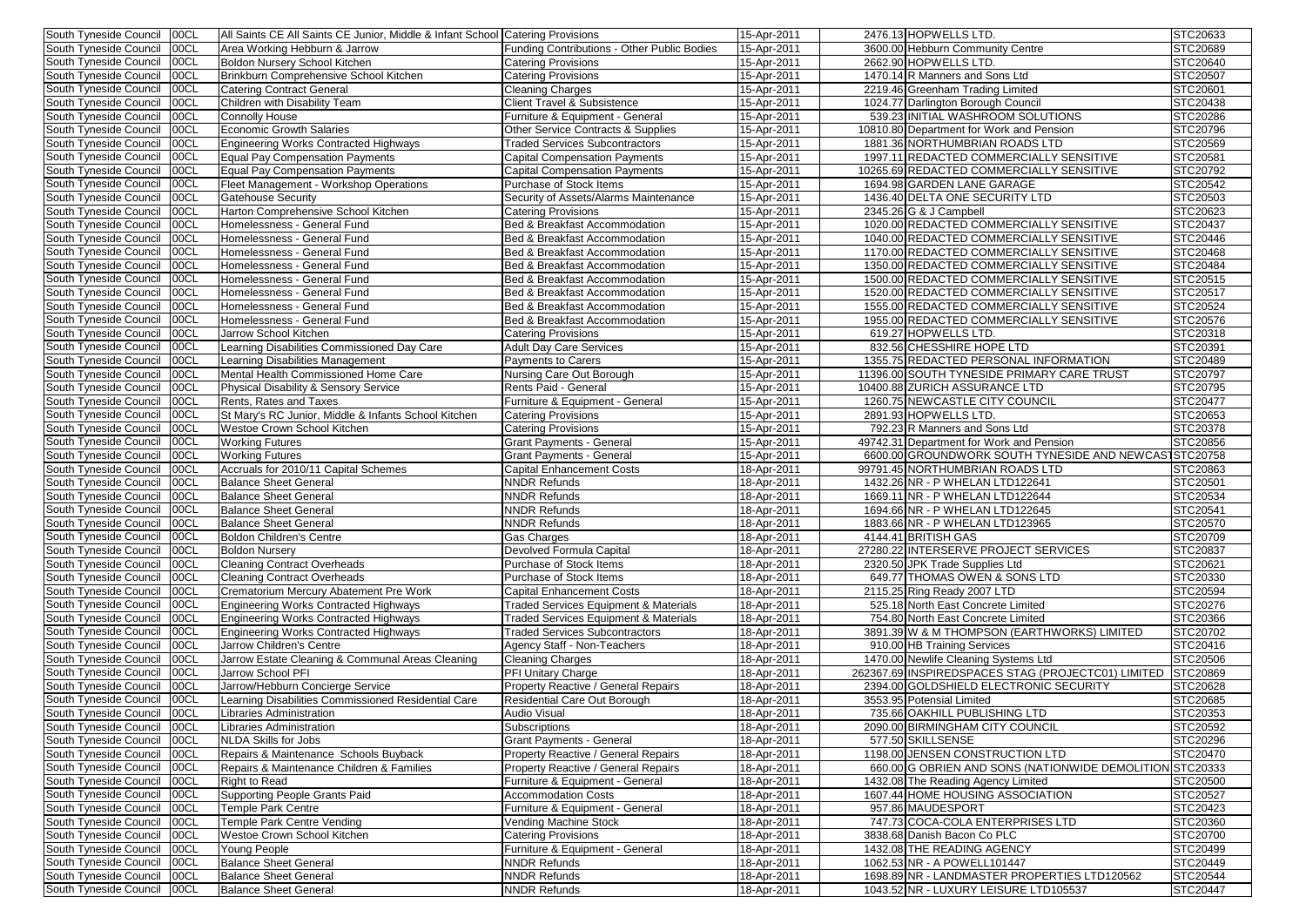| South Tyneside Council      | 00CL        | All Saints CE All Saints CE Junior, Middle & Infant School Catering Provisions |                                                  | 15-Apr-2011 | 2476.13 HOPWELLS LTD.                                       | STC20633        |
|-----------------------------|-------------|--------------------------------------------------------------------------------|--------------------------------------------------|-------------|-------------------------------------------------------------|-----------------|
| South Tyneside Council      | 00CL        | Area Working Hebburn & Jarrow                                                  | Funding Contributions - Other Public Bodies      | 15-Apr-2011 | 3600.00 Hebburn Community Centre                            | STC20689        |
| South Tyneside Council      | 00CL        | Boldon Nursery School Kitchen                                                  | <b>Catering Provisions</b>                       | 15-Apr-2011 | 2662.90 HOPWELLS LTD.                                       | STC20640        |
| South Tyneside Council      | 00CL        | Brinkburn Comprehensive School Kitchen                                         | Catering Provisions                              | 15-Apr-2011 | 1470.14 R Manners and Sons Ltd                              | STC20507        |
| South Tyneside Council      | 00CL        | <b>Catering Contract General</b>                                               | Cleaning Charges                                 | 15-Apr-2011 | 2219.46 Greenham Trading Limited                            | STC20601        |
| South Tyneside Council      | 00CL        | Children with Disability Team                                                  | Client Travel & Subsistence                      | 15-Apr-2011 | 1024.77 Darlington Borough Council                          | STC20438        |
| South Tyneside Council      | 00CL        | <b>Connolly House</b>                                                          | Furniture & Equipment - General                  | 15-Apr-2011 | 539.23 INITIAL WASHROOM SOLUTIONS                           | STC20286        |
|                             | 00CL        | <b>Economic Growth Salaries</b>                                                |                                                  |             |                                                             |                 |
| South Tyneside Council      |             |                                                                                | Other Service Contracts & Supplies               | 15-Apr-2011 | 10810.80 Department for Work and Pension                    | STC20796        |
| South Tyneside Council      | 00CL        | <b>Engineering Works Contracted Highways</b>                                   | <b>Traded Services Subcontractors</b>            | 15-Apr-2011 | 1881.36 NORTHUMBRIAN ROADS LTD                              | STC20569        |
| South Tyneside Council      | 00CL        | <b>Equal Pay Compensation Payments</b>                                         | <b>Capital Compensation Payments</b>             | 15-Apr-2011 | 1997.11 REDACTED COMMERCIALLY SENSITIVE                     | STC20581        |
| South Tyneside Council      | 00CL        | Equal Pay Compensation Payments                                                | <b>Capital Compensation Payments</b>             | 15-Apr-2011 | 10265.69 REDACTED COMMERCIALLY SENSITIVE                    | STC20792        |
| South Tyneside Council      | 00CL        | Fleet Management - Workshop Operations                                         | Purchase of Stock Items                          | 15-Apr-2011 | 1694.98 GARDEN LANE GARAGE                                  | STC20542        |
| South Tyneside Council      | 00CL        | <b>Gatehouse Security</b>                                                      | Security of Assets/Alarms Maintenance            | 15-Apr-2011 | 1436.40 DELTA ONE SECURITY LTD                              | STC20503        |
| South Tyneside Council      | 00CL        | Harton Comprehensive School Kitchen                                            | <b>Catering Provisions</b>                       | 15-Apr-2011 | 2345.26 G & J Campbell                                      | STC20623        |
| South Tyneside Council      | 00CL        | Homelessness - General Fund                                                    | Bed & Breakfast Accommodation                    | 15-Apr-2011 | 1020.00 REDACTED COMMERCIALLY SENSITIVE                     | STC20437        |
|                             | 00CL        |                                                                                |                                                  |             |                                                             |                 |
| South Tyneside Council      |             | Homelessness - General Fund                                                    | Bed & Breakfast Accommodation                    | 15-Apr-2011 | 1040.00 REDACTED COMMERCIALLY SENSITIVE                     | STC20446        |
| South Tyneside Council      | 00CL        | Homelessness - General Fund                                                    | Bed & Breakfast Accommodation                    | 15-Apr-2011 | 1170.00 REDACTED COMMERCIALLY SENSITIVE                     | STC20468        |
| South Tyneside Council      | 00CL        | Homelessness - General Fund                                                    | Bed & Breakfast Accommodation                    | 15-Apr-2011 | 1350.00 REDACTED COMMERCIALLY SENSITIVE                     | STC20484        |
| South Tyneside Council      | 00CL        | Homelessness - General Fund                                                    | Bed & Breakfast Accommodation                    | 15-Apr-2011 | 1500.00 REDACTED COMMERCIALLY SENSITIVE                     | STC20515        |
| South Tyneside Council      | 00CL        | Homelessness - General Fund                                                    | Bed & Breakfast Accommodation                    | 15-Apr-2011 | 1520.00 REDACTED COMMERCIALLY SENSITIVE                     | STC20517        |
| South Tyneside Council      | <b>OOCL</b> | Homelessness - General Fund                                                    | Bed & Breakfast Accommodation                    | 15-Apr-2011 | 1555.00 REDACTED COMMERCIALLY SENSITIVE                     | STC20524        |
| South Tyneside Council      | 00CL        | Homelessness - General Fund                                                    | Bed & Breakfast Accommodation                    | 15-Apr-2011 | 1955.00 REDACTED COMMERCIALLY SENSITIVE                     | STC20576        |
|                             |             | Jarrow School Kitchen                                                          |                                                  |             |                                                             |                 |
| South Tyneside Council      | 00CL        |                                                                                | <b>Catering Provisions</b>                       | 15-Apr-2011 | 619.27 HOPWELLS LTD.                                        | STC20318        |
| South Tyneside Council      | 00CL        | Learning Disabilities Commissioned Day Care                                    | <b>Adult Day Care Services</b>                   | 15-Apr-2011 | 832.56 CHESSHIRE HOPE LTD                                   | STC20391        |
| South Tyneside Council      | 00CL        | Learning Disabilities Management                                               | Payments to Carers                               | 15-Apr-2011 | 1355.75 REDACTED PERSONAL INFORMATION                       | STC20489        |
| South Tyneside Council      | 00CL        | Mental Health Commissioned Home Care                                           | Nursing Care Out Borough                         | 15-Apr-2011 | 11396.00 SOUTH TYNESIDE PRIMARY CARE TRUST                  | STC20797        |
| South Tyneside Council      | <b>00CL</b> | Physical Disability & Sensory Service                                          | Rents Paid - General                             | 15-Apr-2011 | 10400.88 ZURICH ASSURANCE LTD                               | STC20795        |
| South Tyneside Council      | 00CL        | <b>Rents, Rates and Taxes</b>                                                  | Furniture & Equipment - General                  | 15-Apr-2011 | 1260.75 NEW CASTLE CITY COUNCIL                             | <b>STC20477</b> |
| South Tyneside Council      | 00CL        | St Mary's RC Junior, Middle & Infants School Kitchen                           | <b>Catering Provisions</b>                       | 15-Apr-2011 | 2891.93 HOPWELLS LTD.                                       | STC20653        |
| South Tyneside Council      | 00CL        | <b>Westoe Crown School Kitchen</b>                                             | <b>Catering Provisions</b>                       | 15-Apr-2011 | 792.23 R Manners and Sons Ltd                               | STC20378        |
|                             |             |                                                                                |                                                  |             |                                                             |                 |
| South Tyneside Council      | 00CL        | <b>Working Futures</b>                                                         | <b>Grant Payments - General</b>                  | 15-Apr-2011 | 49742.31 Department for Work and Pension                    | STC20856        |
| South Tyneside Council      | 00CL        | <b>Working Futures</b>                                                         | <b>Grant Payments - General</b>                  | 15-Apr-2011 | 6600.00 GROUNDWORK SOUTH TYNESIDE AND NEWCAS STC20758       |                 |
| South Tyneside Council      | 00CL        | Accruals for 2010/11 Capital Schemes                                           | <b>Capital Enhancement Costs</b>                 | 18-Apr-2011 | 99791.45 NORTHUMBRIAN ROADS LTD                             | STC20863        |
| South Tyneside Council      | 00CL        | <b>Balance Sheet General</b>                                                   | <b>NNDR Refunds</b>                              | 18-Apr-2011 | 1432.26 NR - P WHELAN LTD122641                             | STC20501        |
| South Tyneside Council      | <b>00CL</b> | <b>Balance Sheet General</b>                                                   | <b>NNDR Refunds</b>                              | 18-Apr-2011 | 1669.11 NR - P WHELAN LTD122644                             | STC20534        |
| South Tyneside Council      | 00CL        | <b>Balance Sheet General</b>                                                   | <b>NNDR Refunds</b>                              | 18-Apr-2011 | 1694.66 NR - P WHELAN LTD122645                             | STC20541        |
| South Tyneside Council 00CL |             | <b>Balance Sheet General</b>                                                   | <b>NNDR Refunds</b>                              | 18-Apr-2011 | 1883.66 NR - P WHELAN LTD123965                             | STC20570        |
|                             |             |                                                                                |                                                  |             |                                                             |                 |
| South Tyneside Council      | 00CL        | Boldon Children's Centre                                                       | Gas Charges                                      | 18-Apr-2011 | 4144.41 BRITISH GAS                                         | STC20709        |
| South Tyneside Council      | 00CL        | <b>Boldon Nursery</b>                                                          | Devolved Formula Capital                         | 18-Apr-2011 | 27280.22 INTERSERVE PROJECT SERVICES                        | STC20837        |
| South Tyneside Council      | 00CL        | <b>Cleaning Contract Overheads</b>                                             | Purchase of Stock Items                          | 18-Apr-2011 | 2320.50 JPK Trade Supplies Ltd                              | STC20621        |
| South Tyneside Council      | 00CL        | <b>Cleaning Contract Overheads</b>                                             | Purchase of Stock Items                          | 18-Apr-2011 | 649.77 THOMAS OWEN & SONS LTD                               | STC20330        |
| South Tyneside Council      | 00CL        | Crematorium Mercury Abatement Pre Work                                         | Capital Enhancement Costs                        | 18-Apr-2011 | 2115.25 Ring Ready 2007 LTD                                 | STC20594        |
| South Tyneside Council      | 00CL        | Engineering Works Contracted Highways                                          | <b>Traded Services Equipment &amp; Materials</b> | 18-Apr-2011 | 525.18 North East Concrete Limited                          | STC20276        |
| South Tyneside Council      | 00CL        | Engineering Works Contracted Highways                                          | <b>Traded Services Equipment &amp; Materials</b> | 18-Apr-2011 | 754.80 North East Concrete Limited                          | STC20366        |
| South Tyneside Council      | 00CL        |                                                                                | <b>Traded Services Subcontractors</b>            |             | 3891.39 W & M THOMPSON (EARTHWORKS) LIMITED                 | STC20702        |
|                             |             | Engineering Works Contracted Highways                                          |                                                  | 18-Apr-2011 |                                                             |                 |
| South Tyneside Council      | 00CL        | Jarrow Children's Centre                                                       | Agency Staff - Non-Teachers                      | 18-Apr-2011 | 910.00 HB Training Services                                 | STC20416        |
| South Tyneside Council      | 00CL        | Jarrow Estate Cleaning & Communal Areas Cleaning                               | <b>Cleaning Charges</b>                          | 18-Apr-2011 | 1470.00 Newlife Cleaning Systems Ltd                        | STC20506        |
| South Tyneside Council      | 00CL        | Jarrow School PFI                                                              | <b>PFI Unitary Charge</b>                        | 18-Apr-2011 | 262367.69 INSPIREDSPACES STAG (PROJECTC01) LIMITED STC20869 |                 |
| South Tyneside Council      | 00CL        | Jarrow/Hebburn Concierge Service                                               | Property Reactive / General Repairs              | 18-Apr-2011 | 2394.00 GOLDSHIELD ELECTRONIC SECURITY                      | STC20628        |
| South Tyneside Council      | 00CL        | Learning Disabilities Commissioned Residential Care                            | <b>Residential Care Out Borough</b>              | 18-Apr-2011 | 3553.95 Potensial Limited                                   | STC20685        |
| South Tyneside Council      | 00CL        | Libraries Administration                                                       | <b>Audio Visual</b>                              | 18-Apr-2011 | 735.66 OAKHILL PUBLISHING LTD                               | STC20353        |
| South Tyneside Council      | 00CL        | Libraries Administration                                                       | Subscriptions                                    | 18-Apr-2011 | 2090.00 BIRMINGHAM CITY COUNCIL                             | STC20592        |
|                             |             |                                                                                |                                                  |             |                                                             |                 |
| South Tyneside Council      | 00CL        | NLDA Skills for Jobs                                                           | <b>Grant Payments - General</b>                  | 18-Apr-2011 | 577.50 SKILLSENSE                                           | STC20296        |
| South Tyneside Council      | 00CL        | Repairs & Maintenance Schools Buyback                                          | <b>Property Reactive / General Repairs</b>       | 18-Apr-2011 | 1198.00 JENSEN CONSTRUCTION LTD                             | STC20470        |
| South Tyneside Council      | 00CL        | Repairs & Maintenance Children & Families                                      | <b>Property Reactive / General Repairs</b>       | 18-Apr-2011 | 660.00 G OBRIEN AND SONS (NATIONWIDE DEMOLITION STC20333    |                 |
| South Tyneside Council      | 00CL        | <b>Right to Read</b>                                                           | Furniture & Equipment - General                  | 18-Apr-2011 | 1432.08 The Reading Agency Limited                          | STC20500        |
| South Tyneside Council      | 00CL        | Supporting People Grants Paid                                                  | <b>Accommodation Costs</b>                       | 18-Apr-2011 | 1607.44 HOME HOUSING ASSOCIATION                            | STC20527        |
| South Tyneside Council      | 00CL        | <b>Temple Park Centre</b>                                                      | Furniture & Equipment - General                  | 18-Apr-2011 | 957.86 MAUDESPORT                                           | STC20423        |
| South Tyneside Council      | 00CL        | Temple Park Centre Vending                                                     | Vending Machine Stock                            | 18-Apr-2011 | 747.73 COCA-COLA ENTERPRISES LTD                            | STC20360        |
|                             |             |                                                                                |                                                  |             |                                                             |                 |
| South Tyneside Council      | 00CL        | Westoe Crown School Kitchen                                                    | <b>Catering Provisions</b>                       | 18-Apr-2011 | 3838.68 Danish Bacon Co PLC                                 | STC20700        |
| South Tyneside Council      | 00CL        | Young People                                                                   | Furniture & Equipment - General                  | 18-Apr-2011 | 1432.08 THE READING AGENCY                                  | STC20499        |
| South Tyneside Council      | 00CL        | <b>Balance Sheet General</b>                                                   | <b>NNDR Refunds</b>                              | 18-Apr-2011 | 1062.53 NR - A POWELL101447                                 | STC20449        |
| South Tyneside Council      | 00CL        | <b>Balance Sheet General</b>                                                   | <b>NNDR Refunds</b>                              | 18-Apr-2011 | 1698.89 NR - LANDMASTER PROPERTIES LTD120562                | STC20544        |
| South Tyneside Council      | 00CL        | <b>Balance Sheet General</b>                                                   | <b>NNDR Refunds</b>                              | 18-Apr-2011 | 1043.52 NR - LUXURY LEISURE LTD105537                       | STC20447        |
|                             |             |                                                                                |                                                  |             |                                                             |                 |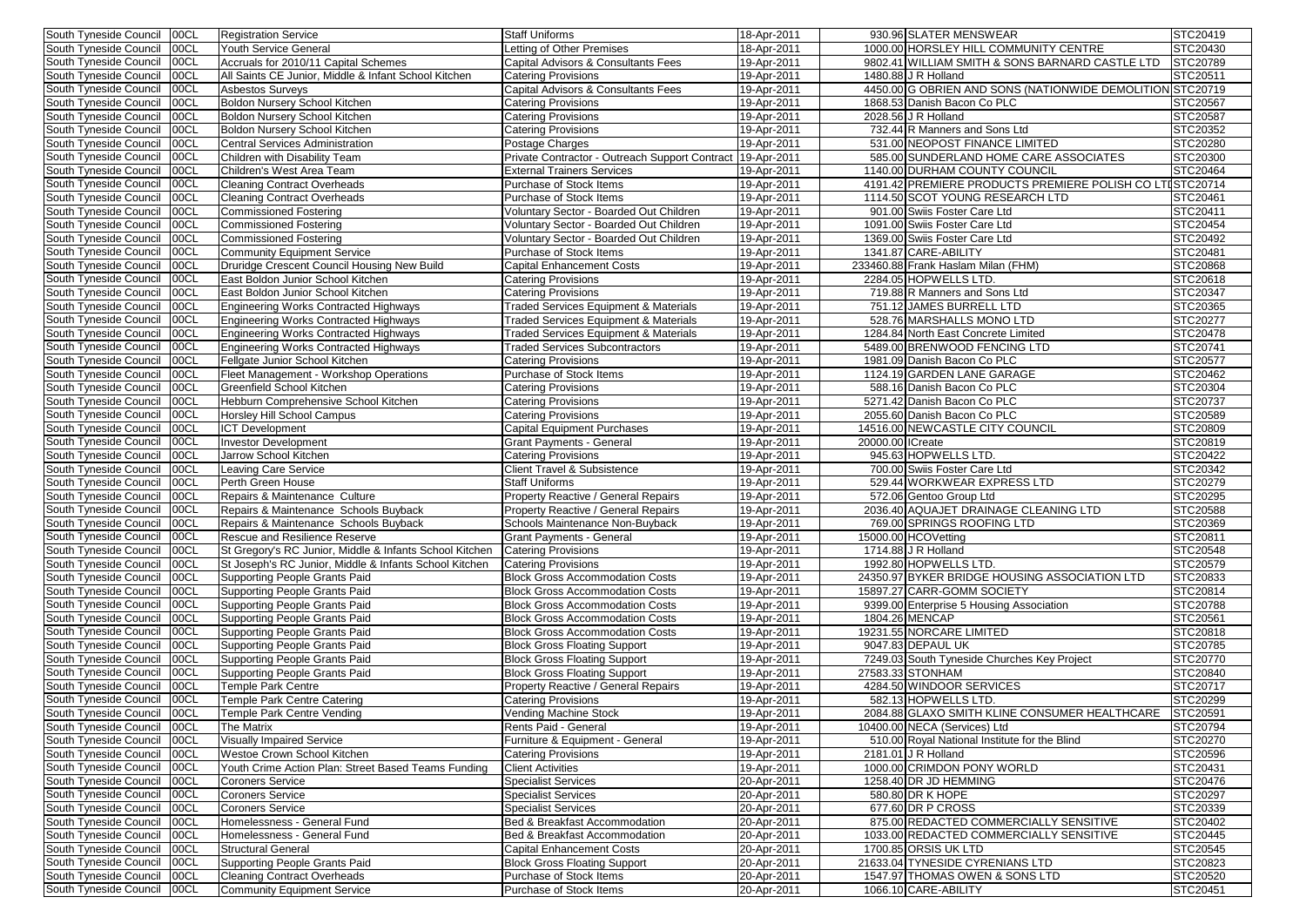| South Tyneside Council<br> 00CL | <b>Registration Service</b>                             | <b>Staff Uniforms</b>                            | 18-Apr-2011 | 930.96 SLATER MENSWEAR                                    | STC20419        |
|---------------------------------|---------------------------------------------------------|--------------------------------------------------|-------------|-----------------------------------------------------------|-----------------|
| South Tyneside Council<br>00CL  | Youth Service General                                   | Letting of Other Premises                        | 18-Apr-2011 | 1000.00 HORSLEY HILL COMMUNITY CENTRE                     | STC20430        |
| 00CL<br>South Tyneside Council  | Accruals for 2010/11 Capital Schemes                    | Capital Advisors & Consultants Fees              | 19-Apr-2011 | 9802.41 WILLIAM SMITH & SONS BARNARD CASTLE LTD           | <b>STC20789</b> |
| South Tyneside Council<br>00CL  | All Saints CE Junior, Middle & Infant School Kitchen    | <b>Catering Provisions</b>                       | 19-Apr-2011 | 1480.88 J R Holland                                       | STC20511        |
| South Tyneside Council<br>00CL  | <b>Asbestos Surveys</b>                                 | Capital Advisors & Consultants Fees              | 19-Apr-2011 | 4450.00 G OBRIEN AND SONS (NATIONWIDE DEMOLITION STC20719 |                 |
| 00CL<br>South Tyneside Council  | Boldon Nursery School Kitchen                           | <b>Catering Provisions</b>                       | 19-Apr-2011 | 1868.53 Danish Bacon Co PLC                               | STC20567        |
| 00CL<br>South Tyneside Council  | Boldon Nursery School Kitchen                           | <b>Catering Provisions</b>                       | 19-Apr-2011 | 2028.56 J R Holland                                       | STC20587        |
| 00CL<br>South Tyneside Council  | Boldon Nursery School Kitchen                           | <b>Catering Provisions</b>                       | 19-Apr-2011 | 732.44 R Manners and Sons Ltd                             | STC20352        |
| 00CL<br>South Tyneside Council  | <b>Central Services Administration</b>                  | Postage Charges                                  | 19-Apr-2011 | 531.00 NEOPOST FINANCE LIMITED                            | STC20280        |
| 00CL                            |                                                         | Private Contractor - Outreach Support Contract   |             |                                                           | STC20300        |
| South Tyneside Council          | Children with Disability Team                           |                                                  | 19-Apr-2011 | 585.00 SUNDERLAND HOME CARE ASSOCIATES                    |                 |
| South Tyneside Council<br>00CL  | Children's West Area Team                               | <b>External Trainers Services</b>                | 19-Apr-2011 | 1140.00 DURHAM COUNTY COUNCIL                             | STC20464        |
| 00CL<br>South Tyneside Council  | <b>Cleaning Contract Overheads</b>                      | Purchase of Stock Items                          | 19-Apr-2011 | 4191.42 PREMIERE PRODUCTS PREMIERE POLISH CO LTISTC20714  |                 |
| South Tyneside Council<br>00CL  | <b>Cleaning Contract Overheads</b>                      | Purchase of Stock Items                          | 19-Apr-2011 | 1114.50 SCOT YOUNG RESEARCH LTD                           | STC20461        |
| 00CL<br>South Tyneside Council  | <b>Commissioned Fostering</b>                           | Voluntary Sector - Boarded Out Children          | 19-Apr-2011 | 901.00 Swiis Foster Care Ltd                              | STC20411        |
| 00CL<br>South Tyneside Council  | <b>Commissioned Fostering</b>                           | Voluntary Sector - Boarded Out Children          | 19-Apr-2011 | 1091.00 Swiis Foster Care Ltd                             | STC20454        |
| 00CL<br>South Tyneside Council  | <b>Commissioned Fostering</b>                           | Voluntary Sector - Boarded Out Children          | 19-Apr-2011 | 1369.00 Swiis Foster Care Ltd                             | STC20492        |
| 00CL<br>South Tyneside Council  | <b>Community Equipment Service</b>                      | Purchase of Stock Items                          | 19-Apr-2011 | 1341.87 CARE-ABILITY                                      | STC20481        |
| 00CL<br>South Tyneside Council  | Druridge Crescent Council Housing New Build             | Capital Enhancement Costs                        | 19-Apr-2011 | 233460.88 Frank Haslam Milan (FHM)                        | STC20868        |
| South Tyneside Council<br>00CL  | East Boldon Junior School Kitchen                       |                                                  |             | 2284.05 HOPWELLS LTD.                                     |                 |
|                                 |                                                         | <b>Catering Provisions</b>                       | 19-Apr-2011 |                                                           | STC20618        |
| South Tyneside Council<br>00CL  | East Boldon Junior School Kitchen                       | <b>Catering Provisions</b>                       | 19-Apr-2011 | 719.88 R Manners and Sons Ltd                             | STC20347        |
| 00CL<br>South Tyneside Council  | <b>Engineering Works Contracted Highways</b>            | <b>Traded Services Equipment &amp; Materials</b> | 19-Apr-2011 | 751.12 JAMES BURRELL LTD                                  | STC20365        |
| 00CL<br>South Tyneside Council  | <b>Engineering Works Contracted Highways</b>            | Traded Services Equipment & Materials            | 19-Apr-2011 | 528.76 MARSHALLS MONO LTD                                 | STC20277        |
| 00CL<br>South Tyneside Council  | <b>Engineering Works Contracted Highways</b>            | Traded Services Equipment & Materials            | 19-Apr-2011 | 1284.84 North East Concrete Limited                       | STC20478        |
| 00CL<br>South Tyneside Council  | <b>Engineering Works Contracted Highways</b>            | <b>Traded Services Subcontractors</b>            | 19-Apr-2011 | 5489.00 BRENWOOD FENCING LTD                              | STC20741        |
| 00CL<br>South Tyneside Council  | Fellgate Junior School Kitchen                          | <b>Catering Provisions</b>                       | 19-Apr-2011 | 1981.09 Danish Bacon Co PLC                               | STC20577        |
| 00CL<br>South Tyneside Council  | Fleet Management - Workshop Operations                  | Purchase of Stock Items                          | 19-Apr-2011 | 1124.19 GARDEN LANE GARAGE                                | STC20462        |
| South Tyneside Council<br>00CL  | <b>Greenfield School Kitchen</b>                        | <b>Catering Provisions</b>                       | 19-Apr-2011 | 588.16 Danish Bacon Co PLC                                | STC20304        |
| 00CL<br>South Tyneside Council  | Hebburn Comprehensive School Kitchen                    | <b>Catering Provisions</b>                       | 19-Apr-2011 | 5271.42 Danish Bacon Co PLC                               | STC20737        |
| South Tyneside Council<br>00CL  | <b>Horsley Hill School Campus</b>                       | <b>Catering Provisions</b>                       |             | 2055.60 Danish Bacon Co PLC                               | STC20589        |
|                                 |                                                         |                                                  | 19-Apr-2011 |                                                           |                 |
| 00CL<br>South Tyneside Council  | <b>ICT</b> Development                                  | <b>Capital Equipment Purchases</b>               | 19-Apr-2011 | 14516.00 NEW CASTLE CITY COUNCIL                          | <b>STC20809</b> |
| 00CL<br>South Tyneside Council  | <b>Investor Development</b>                             | <b>Grant Payments - General</b>                  | 19-Apr-2011 | 20000.00 Create                                           | STC20819        |
| 00CL<br>South Tyneside Council  | Jarrow School Kitchen                                   | <b>Catering Provisions</b>                       | 19-Apr-2011 | 945.63 HOPWELLS LTD.                                      | STC20422        |
| 00CL<br>South Tyneside Council  | <b>Leaving Care Service</b>                             | <b>Client Travel &amp; Subsistence</b>           | 19-Apr-2011 | 700.00 Swiis Foster Care Ltd                              | STC20342        |
| 00CL<br>South Tyneside Council  | Perth Green House                                       | <b>Staff Uniforms</b>                            | 19-Apr-2011 | 529.44 WORKWEAR EXPRESS LTD                               | STC20279        |
| South Tyneside Council<br>00CL  | Repairs & Maintenance Culture                           | <b>Property Reactive / General Repairs</b>       | 19-Apr-2011 | 572.06 Gentoo Group Ltd                                   | STC20295        |
| South Tyneside Council 00CL     | Repairs & Maintenance Schools Buyback                   | <b>Property Reactive / General Repairs</b>       | 19-Apr-2011 | 2036.40 AQUAJET DRAINAGE CLEANING LTD                     | <b>STC20588</b> |
| South Tyneside Council   00CL   | Repairs & Maintenance Schools Buyback                   | Schools Maintenance Non-Buyback                  | 19-Apr-2011 | 769.00 SPRINGS ROOFING LTD                                | STC20369        |
| South Tyneside Council   00CL   | <b>Rescue and Resilience Reserve</b>                    | Grant Payments - General                         | 19-Apr-2011 | 15000.00 HCOVetting                                       | STC20811        |
| South Tyneside Council   00CL   | St Gregory's RC Junior, Middle & Infants School Kitchen | <b>Catering Provisions</b>                       | 19-Apr-2011 | $1714.88 \overline{J}$ R Holland                          | STC20548        |
| South Tyneside Council   00CL   |                                                         |                                                  |             | 1992.80 HOPWELLS LTD.                                     | STC20579        |
|                                 | St Joseph's RC Junior, Middle & Infants School Kitchen  | <b>Catering Provisions</b>                       | 19-Apr-2011 |                                                           |                 |
| South Tyneside Council   00CL   | <b>Supporting People Grants Paid</b>                    | <b>Block Gross Accommodation Costs</b>           | 19-Apr-2011 | 24350.97 BYKER BRIDGE HOUSING ASSOCIATION LTD             | STC20833        |
| South Tyneside Council   00CL   | Supporting People Grants Paid                           | <b>Block Gross Accommodation Costs</b>           | 19-Apr-2011 | 15897.27 CARR-GOMM SOCIETY                                | STC20814        |
| South Tyneside Council   00CL   | Supporting People Grants Paid                           | <b>Block Gross Accommodation Costs</b>           | 19-Apr-2011 | 9399.00 Enterprise 5 Housing Association                  | STC20788        |
| South Tyneside Council   00CL   | Supporting People Grants Paid                           | <b>Block Gross Accommodation Costs</b>           | 19-Apr-2011 | 1804.26 MENCAP                                            | STC20561        |
| South Tyneside Council<br>00CL  | Supporting People Grants Paid                           | <b>Block Gross Accommodation Costs</b>           | 19-Apr-2011 | 19231.55 NORCARE LIMITED                                  | STC20818        |
| South Tyneside Council   00CL   | <b>Supporting People Grants Paid</b>                    | <b>Block Gross Floating Support</b>              | 19-Apr-2011 | 9047.83 DEPAUL UK                                         | STC20785        |
| South Tyneside Council   00CL   | <b>Supporting People Grants Paid</b>                    | <b>Block Gross Floating Support</b>              | 19-Apr-2011 | 7249.03 South Tyneside Churches Key Project               | STC20770        |
| South Tyneside Council   00CL   | <b>Supporting People Grants Paid</b>                    | <b>Block Gross Floating Support</b>              | 19-Apr-2011 | 27583.33 STONHAM                                          | STC20840        |
| South Tyneside Council 00CL     | <b>Temple Park Centre</b>                               | <b>Property Reactive / General Repairs</b>       | 19-Apr-2011 | 4284.50 WINDOOR SERVICES                                  | STC20717        |
|                                 |                                                         |                                                  |             | 582.13 HOPWELLS LTD.                                      | STC20299        |
| South Tyneside Council   00CL   | <b>Temple Park Centre Catering</b>                      | <b>Catering Provisions</b>                       | 19-Apr-2011 |                                                           |                 |
| South Tyneside Council   00CL   | <b>Temple Park Centre Vending</b>                       | <b>Vending Machine Stock</b>                     | 19-Apr-2011 | 2084.88 GLAXO SMITH KLINE CONSUMER HEALTHCARE             | STC20591        |
| South Tyneside Council   00CL   | <b>The Matrix</b>                                       | Rents Paid - General                             | 19-Apr-2011 | 10400.00 NECA (Services) Ltd                              | STC20794        |
| South Tyneside Council   00CL   | <b>Visually Impaired Service</b>                        | Furniture & Equipment - General                  | 19-Apr-2011 | 510.00 Royal National Institute for the Blind             | STC20270        |
| South Tyneside Council   00CL   | Westoe Crown School Kitchen                             | <b>Catering Provisions</b>                       | 19-Apr-2011 | 2181.01 J R Holland                                       | STC20596        |
| South Tyneside Council   00CL   | Youth Crime Action Plan: Street Based Teams Funding     | <b>Client Activities</b>                         | 19-Apr-2011 | 1000.00 CRIMDON PONY WORLD                                | STC20431        |
| South Tyneside Council   00CL   | <b>Coroners Service</b>                                 | <b>Specialist Services</b>                       | 20-Apr-2011 | 1258.40 DR JD HEMMING                                     | STC20476        |
| South Tyneside Council   00CL   | <b>Coroners Service</b>                                 | <b>Specialist Services</b>                       | 20-Apr-2011 | 580.80 DR K HOPE                                          | STC20297        |
| South Tyneside Council   00CL   | <b>Coroners Service</b>                                 | <b>Specialist Services</b>                       | 20-Apr-2011 | 677.60 DR P CROSS                                         | STC20339        |
| South Tyneside Council   00CL   | Homelessness - General Fund                             | Bed & Breakfast Accommodation                    |             | 875.00 REDACTED COMMERCIALLY SENSITIVE                    | STC20402        |
|                                 |                                                         |                                                  | 20-Apr-2011 |                                                           |                 |
| South Tyneside Council   00CL   | Homelessness - General Fund                             | Bed & Breakfast Accommodation                    | 20-Apr-2011 | 1033.00 REDACTED COMMERCIALLY SENSITIVE                   | STC20445        |
| South Tyneside Council<br>00CL  | <b>Structural General</b>                               | <b>Capital Enhancement Costs</b>                 | 20-Apr-2011 | 1700.85 ORSIS UK LTD                                      | STC20545        |
| South Tyneside Council   00CL   | Supporting People Grants Paid                           | <b>Block Gross Floating Support</b>              | 20-Apr-2011 | 21633.04 TYNESIDE CYRENIANS LTD                           | STC20823        |
| South Tyneside Council   00CL   | <b>Cleaning Contract Overheads</b>                      | Purchase of Stock Items                          | 20-Apr-2011 | 1547.97 THOMAS OWEN & SONS LTD                            | STC20520        |
| South Tyneside Council   00CL   | <b>Community Equipment Service</b>                      | Purchase of Stock Items                          | 20-Apr-2011 | 1066.10 CARE-ABILITY                                      | STC20451        |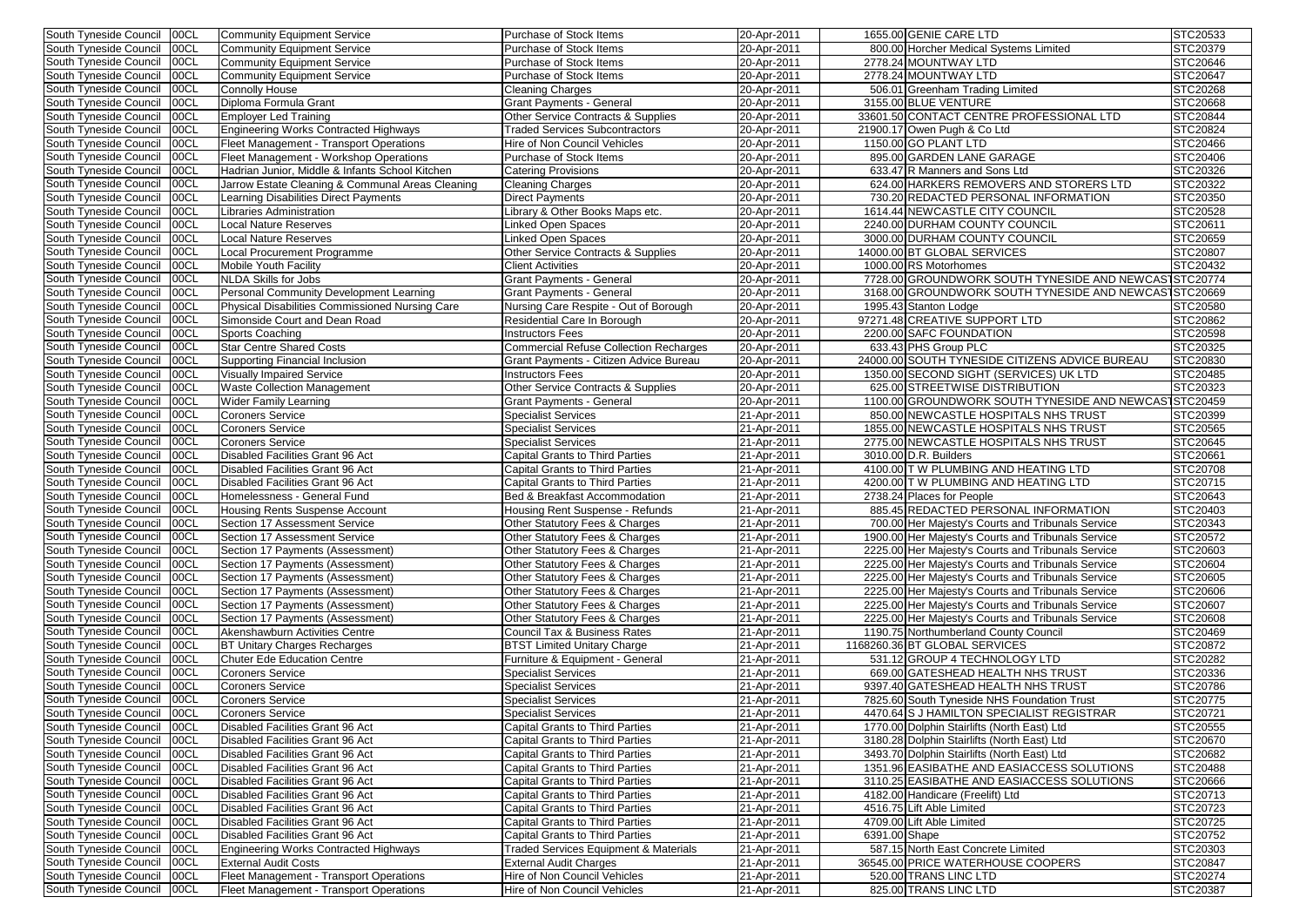| South Tyneside Council 00CL     | <b>Community Equipment Service</b>               | Purchase of Stock Items                          | 20-Apr-2011 |               | 1655.00 GENIE CARE LTD                                 | STC20533        |
|---------------------------------|--------------------------------------------------|--------------------------------------------------|-------------|---------------|--------------------------------------------------------|-----------------|
| South Tyneside Council<br>00CL  | <b>Community Equipment Service</b>               | Purchase of Stock Items                          | 20-Apr-2011 |               | 800.00 Horcher Medical Systems Limited                 | STC20379        |
| 100CL<br>South Tyneside Council | <b>Community Equipment Service</b>               | Purchase of Stock Items                          | 20-Apr-2011 |               | 2778.24 MOUNTWAY LTD                                   | STC20646        |
| 00CL<br>South Tyneside Council  | <b>Community Equipment Service</b>               | Purchase of Stock Items                          | 20-Apr-2011 |               | 2778.24 MOUNTWAY LTD                                   | STC20647        |
| 00CL<br>South Tyneside Council  | <b>Connolly House</b>                            | <b>Cleaning Charges</b>                          | 20-Apr-2011 |               | 506.01 Greenham Trading Limited                        | STC20268        |
| 00CL<br>South Tyneside Council  | Diploma Formula Grant                            | <b>Grant Payments - General</b>                  | 20-Apr-2011 |               | 3155.00 BLUE VENTURE                                   | STC20668        |
| 00CL<br>South Tyneside Council  | <b>Employer Led Training</b>                     | Other Service Contracts & Supplies               | 20-Apr-2011 |               | 33601.50 CONTACT CENTRE PROFESSIONAL LTD               | STC20844        |
| South Tyneside Council<br>00CL  | <b>Engineering Works Contracted Highways</b>     | <b>Traded Services Subcontractors</b>            | 20-Apr-2011 |               | 21900.17 Owen Pugh & Co Ltd                            | STC20824        |
| South Tyneside Council<br>00CL  | Fleet Management - Transport Operations          | Hire of Non Council Vehicles                     | 20-Apr-2011 |               | 1150.00 GO PLANT LTD                                   | STC20466        |
| South Tyneside Council<br>00CL  | Fleet Management - Workshop Operations           | Purchase of Stock Items                          | 20-Apr-2011 |               | 895.00 GARDEN LANE GARAGE                              | STC20406        |
| 00CL<br>South Tyneside Council  | Hadrian Junior, Middle & Infants School Kitchen  | <b>Catering Provisions</b>                       | 20-Apr-2011 |               | 633.47 R Manners and Sons Ltd                          | STC20326        |
| 00CL<br>South Tyneside Council  | Jarrow Estate Cleaning & Communal Areas Cleaning |                                                  | 20-Apr-2011 |               | 624.00 HARKERS REMOVERS AND STORERS LTD                | STC20322        |
| 00CL                            |                                                  | Cleaning Charges<br><b>Direct Payments</b>       |             |               | 730.20 REDACTED PERSONAL INFORMATION                   | STC20350        |
| South Tyneside Council          | Learning Disabilities Direct Payments            |                                                  | 20-Apr-2011 |               |                                                        |                 |
| 00CL<br>South Tyneside Council  | Libraries Administration                         | Library & Other Books Maps etc.                  | 20-Apr-2011 |               | 1614.44 NEWCASTLE CITY COUNCIL                         | STC20528        |
| 00CL<br>South Tyneside Council  | <b>Local Nature Reserves</b>                     | Linked Open Spaces                               | 20-Apr-2011 |               | 2240.00 DURHAM COUNTY COUNCIL                          | STC20611        |
| South Tyneside Council<br>00CL  | Local Nature Reserves                            | <b>Linked Open Spaces</b>                        | 20-Apr-2011 |               | 3000.00 DURHAM COUNTY COUNCIL                          | STC20659        |
| 00CL<br>South Tyneside Council  | Local Procurement Programme                      | Other Service Contracts & Supplies               | 20-Apr-2011 |               | 14000.00 BT GLOBAL SERVICES                            | STC20807        |
| 00CL<br>South Tyneside Council  | <b>Mobile Youth Facility</b>                     | <b>Client Activities</b>                         | 20-Apr-2011 |               | 1000.00 RS Motorhomes                                  | STC20432        |
| 00CL<br>South Tyneside Council  | <b>NLDA Skills for Jobs</b>                      | <b>Grant Payments - General</b>                  | 20-Apr-2011 |               | 7728.00 GROUNDWORK SOUTH TYNESIDE AND NEWCASTSTC20774  |                 |
| 00CL<br>South Tyneside Council  | Personal Community Development Learning          | <b>Grant Payments - General</b>                  | 20-Apr-2011 |               | 3168.00 GROUNDWORK SOUTH TYNESIDE AND NEWCAST STC20669 |                 |
| 00CL<br>South Tyneside Council  | Physical Disabilities Commissioned Nursing Care  | Nursing Care Respite - Out of Borough            | 20-Apr-2011 |               | 1995.43 Stanton Lodge                                  | STC20580        |
| South Tyneside Council<br>00CL  | Simonside Court and Dean Road                    | Residential Care In Borough                      | 20-Apr-2011 |               | 97271.48 CREATIVE SUPPORT LTD                          | STC20862        |
| 00CL<br>South Tyneside Council  | <b>Sports Coaching</b>                           | <b>Instructors Fees</b>                          | 20-Apr-2011 |               | 2200.00 SAFC FOUNDATION                                | STC20598        |
| South Tyneside Council<br>00CL  | <b>Star Centre Shared Costs</b>                  | <b>Commercial Refuse Collection Recharges</b>    | 20-Apr-2011 |               | 633.43 PHS Group PLC                                   | <b>STC20325</b> |
| 00CL<br>South Tyneside Council  | <b>Supporting Financial Inclusion</b>            | Grant Payments - Citizen Advice Bureau           | 20-Apr-2011 |               | 24000.00 SOUTH TYNESIDE CITIZENS ADVICE BUREAU         | STC20830        |
| South Tyneside Council<br>00CL  | <b>Visually Impaired Service</b>                 | Instructors Fees                                 | 20-Apr-2011 |               | 1350.00 SECOND SIGHT (SERVICES) UK LTD                 | STC20485        |
| 00CL<br>South Tyneside Council  | <b>Waste Collection Management</b>               | <b>Other Service Contracts &amp; Supplies</b>    | 20-Apr-2011 |               | 625.00 STREETWISE DISTRIBUTION                         | STC20323        |
| 00CL<br>South Tyneside Council  | <b>Wider Family Learning</b>                     | <b>Grant Payments - General</b>                  | 20-Apr-2011 |               | 1100.00 GROUNDWORK SOUTH TYNESIDE AND NEWCASTSTC20459  |                 |
| 00CL<br>South Tyneside Council  | <b>Coroners Service</b>                          | <b>Specialist Services</b>                       | 21-Apr-2011 |               | 850.00 NEWCASTLE HOSPITALS NHS TRUST                   | STC20399        |
| 00CL<br>South Tyneside Council  | <b>Coroners Service</b>                          | <b>Specialist Services</b>                       | 21-Apr-2011 |               | 1855.00 NEW CASTLE HOSPITALS NHS TRUST                 | STC20565        |
| South Tyneside Council<br>00CL  | <b>Coroners Service</b>                          | <b>Specialist Services</b>                       | 21-Apr-2011 |               | 2775.00 NEW CASTLE HOSPITALS NHS TRUST                 | STC20645        |
| South Tyneside Council<br>00CL  | Disabled Facilities Grant 96 Act                 | <b>Capital Grants to Third Parties</b>           | 21-Apr-2011 |               | 3010.00 D.R. Builders                                  | STC20661        |
| 00CL<br>South Tyneside Council  | Disabled Facilities Grant 96 Act                 | <b>Capital Grants to Third Parties</b>           | 21-Apr-2011 |               | 4100.00 T W PLUMBING AND HEATING LTD                   | STC20708        |
| 00CL<br>South Tyneside Council  | Disabled Facilities Grant 96 Act                 | <b>Capital Grants to Third Parties</b>           | 21-Apr-2011 |               | 4200.00 T W PLUMBING AND HEATING LTD                   | STC20715        |
| 00CL<br>South Tyneside Council  | Homelessness - General Fund                      | Bed & Breakfast Accommodation                    | 21-Apr-2011 |               | 2738.24 Places for People                              | STC20643        |
| South Tyneside Council   00CL   |                                                  |                                                  |             |               |                                                        |                 |
|                                 | <b>Housing Rents Suspense Account</b>            | Housing Rent Suspense - Refunds                  | 21-Apr-2011 |               | 885.45 REDACTED PERSONAL INFORMATION                   | STC20403        |
| South Tyneside Council   00CL   | Section 17 Assessment Service                    | Other Statutory Fees & Charges                   | 21-Apr-2011 |               | 700.00 Her Majesty's Courts and Tribunals Service      | STC20343        |
| South Tyneside Council   00CL   | Section 17 Assessment Service                    | Other Statutory Fees & Charges                   | 21-Apr-2011 |               | 1900.00 Her Majesty's Courts and Tribunals Service     | STC20572        |
| 00CL<br>South Tyneside Council  | Section 17 Payments (Assessment)                 | Other Statutory Fees & Charges                   | 21-Apr-2011 |               | 2225.00 Her Majesty's Courts and Tribunals Service     | STC20603        |
| South Tyneside Council<br>00CL  | Section 17 Payments (Assessment)                 | Other Statutory Fees & Charges                   | 21-Apr-2011 |               | 2225.00 Her Majesty's Courts and Tribunals Service     | <b>STC20604</b> |
| South Tyneside Council<br>100CL | Section 17 Payments (Assessment)                 | Other Statutory Fees & Charges                   | 21-Apr-2011 |               | 2225.00 Her Majesty's Courts and Tribunals Service     | STC20605        |
| South Tyneside Council<br>00CL  | Section 17 Payments (Assessment)                 | <b>Other Statutory Fees &amp; Charges</b>        | 21-Apr-2011 |               | 2225.00 Her Majesty's Courts and Tribunals Service     | STC20606        |
| South Tyneside Council<br>00CL  | Section 17 Payments (Assessment)                 | <b>Other Statutory Fees &amp; Charges</b>        | 21-Apr-2011 |               | 2225.00 Her Majesty's Courts and Tribunals Service     | STC20607        |
| 00CL<br>South Tyneside Council  | Section 17 Payments (Assessment)                 | <b>Other Statutory Fees &amp; Charges</b>        | 21-Apr-2011 |               | 2225.00 Her Majesty's Courts and Tribunals Service     | STC20608        |
| South Tyneside Council<br>00CL  | Akenshawburn Activities Centre                   | Council Tax & Business Rates                     | 21-Apr-2011 |               | 1190.75 Northumberland County Council                  | STC20469        |
| South Tyneside Council<br>00CL  | <b>BT Unitary Charges Recharges</b>              | <b>BTST Limited Unitary Charge</b>               | 21-Apr-2011 |               | 1168260.36 BT GLOBAL SERVICES                          | STC20872        |
| South Tyneside Council<br>00CL  | <b>Chuter Ede Education Centre</b>               | Furniture & Equipment - General                  | 21-Apr-2011 |               | 531.12 GROUP 4 TECHNOLOGY LTD                          | STC20282        |
| South Tyneside Council<br>00CL  | <b>Coroners Service</b>                          | <b>Specialist Services</b>                       | 21-Apr-2011 |               | 669.00 GATESHEAD HEALTH NHS TRUST                      | STC20336        |
| South Tyneside Council<br>00CL  | <b>Coroners Service</b>                          | <b>Specialist Services</b>                       | 21-Apr-2011 |               | 9397.40 GATESHEAD HEALTH NHS TRUST                     | STC20786        |
| South Tyneside Council<br>00CL  | <b>Coroners Service</b>                          | <b>Specialist Services</b>                       | 21-Apr-2011 |               | 7825.60 South Tyneside NHS Foundation Trust            | STC20775        |
| 00CL<br>South Tyneside Council  | <b>Coroners Service</b>                          | <b>Specialist Services</b>                       | 21-Apr-2011 |               | 4470.64 S J HAMILTON SPECIALIST REGISTRAR              | STC20721        |
| South Tyneside Council<br>00CL  | Disabled Facilities Grant 96 Act                 | Capital Grants to Third Parties                  | 21-Apr-2011 |               | 1770.00 Dolphin Stairlifts (North East) Ltd            | STC20555        |
| South Tyneside Council<br>00CL  | Disabled Facilities Grant 96 Act                 | Capital Grants to Third Parties                  | 21-Apr-2011 |               | 3180.28 Dolphin Stairlifts (North East) Ltd            | STC20670        |
| 00CL<br>South Tyneside Council  | Disabled Facilities Grant 96 Act                 | <b>Capital Grants to Third Parties</b>           | 21-Apr-2011 |               | 3493.70 Dolphin Stairlifts (North East) Ltd            | STC20682        |
| 00CL<br>South Tyneside Council  | Disabled Facilities Grant 96 Act                 | <b>Capital Grants to Third Parties</b>           | 21-Apr-2011 |               | 1351.96 EASIBATHE AND EASIACCESS SOLUTIONS             | STC20488        |
| South Tyneside Council<br>00CL  | Disabled Facilities Grant 96 Act                 | <b>Capital Grants to Third Parties</b>           | 21-Apr-2011 |               | 3110.25 EASIBATHE AND EASIACCESS SOLUTIONS             | STC20666        |
| South Tyneside Council<br>00CL  | Disabled Facilities Grant 96 Act                 | <b>Capital Grants to Third Parties</b>           | 21-Apr-2011 |               | 4182.00 Handicare (Freelift) Ltd                       | STC20713        |
| South Tyneside Council<br>00CL  | Disabled Facilities Grant 96 Act                 | <b>Capital Grants to Third Parties</b>           |             |               | 4516.75 Lift Able Limited                              | STC20723        |
| South Tyneside Council          |                                                  |                                                  | 21-Apr-2011 |               |                                                        |                 |
| 00CL                            | Disabled Facilities Grant 96 Act                 | <b>Capital Grants to Third Parties</b>           | 21-Apr-2011 |               | 4709.00 Lift Able Limited                              | STC20725        |
| South Tyneside Council<br>00CL  | Disabled Facilities Grant 96 Act                 | <b>Capital Grants to Third Parties</b>           | 21-Apr-2011 | 6391.00 Shape |                                                        | STC20752        |
| South Tyneside Council<br>00CL  | Engineering Works Contracted Highways            | <b>Traded Services Equipment &amp; Materials</b> | 21-Apr-2011 |               | 587.15 North East Concrete Limited                     | STC20303        |
| South Tyneside Council<br>00CL  | <b>External Audit Costs</b>                      | <b>External Audit Charges</b>                    | 21-Apr-2011 |               | 36545.00 PRICE WATERHOUSE COOPERS                      | STC20847        |
| South Tyneside Council<br>00CL  | Fleet Management - Transport Operations          | Hire of Non Council Vehicles                     | 21-Apr-2011 |               | 520.00 TRANS LINC LTD                                  | <b>STC20274</b> |
| South Tyneside Council<br>00CL  | Fleet Management - Transport Operations          | Hire of Non Council Vehicles                     | 21-Apr-2011 |               | 825.00 TRANS LINC LTD                                  | STC20387        |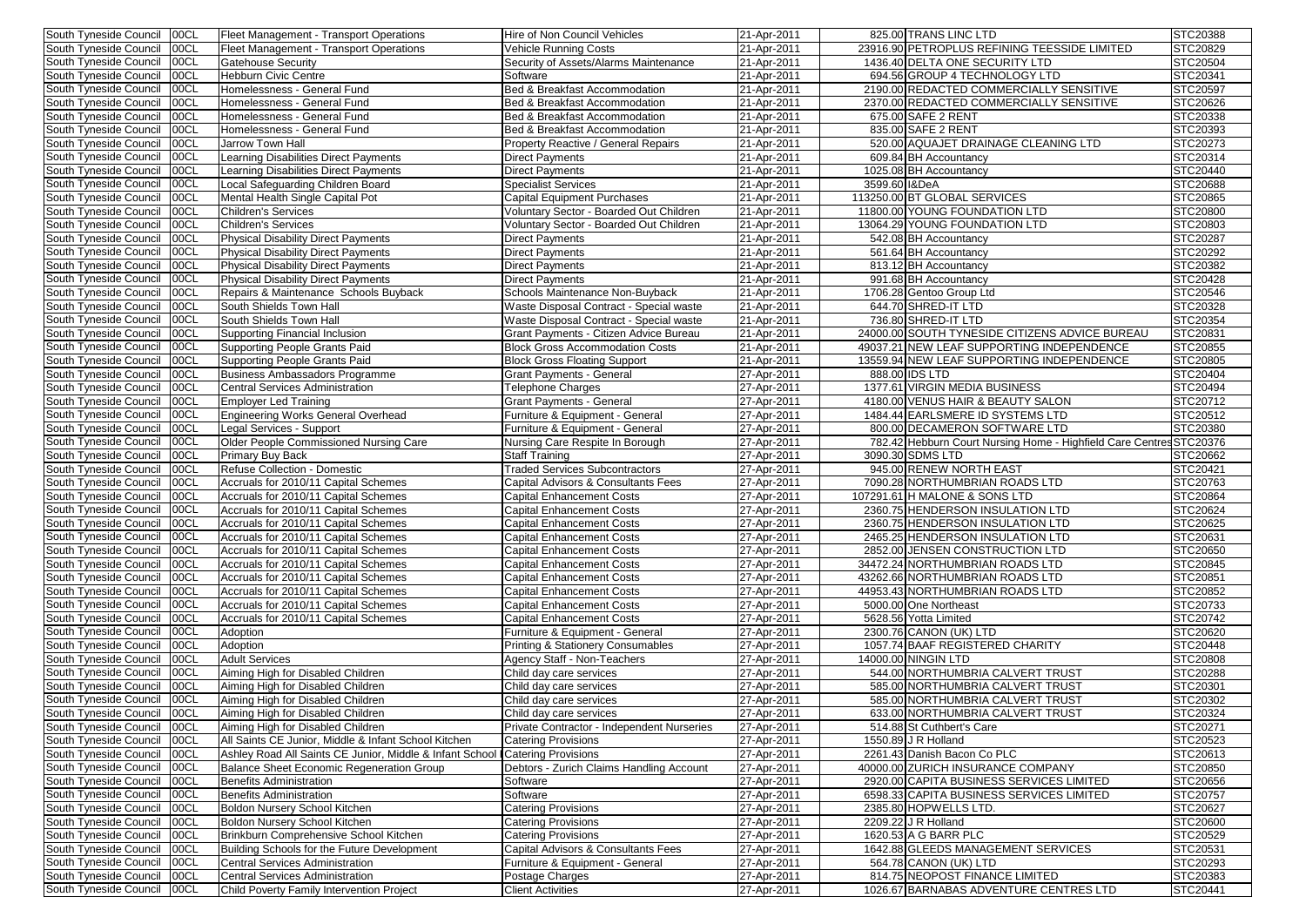| 00CL<br>South Tyneside Council             | Fleet Management - Transport Operations                                      | <b>Hire of Non Council Vehicles</b>          | 21-Apr-2011 | 825.00 TRANS LINC LTD                                               | STC20388 |
|--------------------------------------------|------------------------------------------------------------------------------|----------------------------------------------|-------------|---------------------------------------------------------------------|----------|
| 00CL<br>South Tyneside Council             | Fleet Management - Transport Operations                                      | Vehicle Running Costs                        | 21-Apr-2011 | 23916.90 PETROPLUS REFINING TEESSIDE LIMITED                        | STC20829 |
| 00CL<br>South Tyneside Council             | <b>Gatehouse Security</b>                                                    | <b>Security of Assets/Alarms Maintenance</b> | 21-Apr-2011 | 1436.40 DELTA ONE SECURITY LTD                                      | STC20504 |
| 00CL<br>South Tyneside Council             | <b>Hebburn Civic Centre</b>                                                  | Software                                     | 21-Apr-2011 | 694.56 GROUP 4 TECHNOLOGY LTD                                       | STC20341 |
| 00CL<br>South Tyneside Council             | Homelessness - General Fund                                                  | Bed & Breakfast Accommodation                | 21-Apr-2011 | 2190.00 REDACTED COMMERCIALLY SENSITIVE                             | STC20597 |
| 00CL<br>South Tyneside Council             | Homelessness - General Fund                                                  | Bed & Breakfast Accommodation                | 21-Apr-2011 | 2370.00 REDACTED COMMERCIALLY SENSITIVE                             | STC20626 |
| South Tyneside Council<br>00CL             | Homelessness - General Fund                                                  | Bed & Breakfast Accommodation                | 21-Apr-2011 | 675.00 SAFE 2 RENT                                                  | STC20338 |
| South Tyneside Council<br>00CL             | Homelessness - General Fund                                                  | Bed & Breakfast Accommodation                | 21-Apr-2011 | 835.00 SAFE 2 RENT                                                  | STC20393 |
| South Tyneside Council<br>00CL             | Jarrow Town Hall                                                             | <b>Property Reactive / General Repairs</b>   | 21-Apr-2011 | 520.00 AQUAJET DRAINAGE CLEANING LTD                                | STC20273 |
| 00CL<br>South Tyneside Council             | Learning Disabilities Direct Payments                                        | Direct Payments                              | 21-Apr-2011 | 609.84 BH Accountancy                                               | STC20314 |
| 00CL<br>South Tyneside Council             |                                                                              | <b>Direct Payments</b>                       |             | 1025.08 BH Accountancy                                              | STC20440 |
|                                            | Learning Disabilities Direct Payments                                        |                                              | 21-Apr-2011 |                                                                     |          |
| 00CL<br>South Tyneside Council             | Local Safeguarding Children Board                                            | <b>Specialist Services</b>                   | 21-Apr-2011 | 3599.60   I&DeA                                                     | STC20688 |
| 00CL<br>South Tyneside Council             | Mental Health Single Capital Pot                                             | <b>Capital Equipment Purchases</b>           | 21-Apr-2011 | 113250.00 BT GLOBAL SERVICES                                        | STC20865 |
| 00CL<br>South Tyneside Council             | <b>Children's Services</b>                                                   | Voluntary Sector - Boarded Out Children      | 21-Apr-2011 | 11800.00 YOUNG FOUNDATION LTD                                       | STC20800 |
| 00C <sub>L</sub><br>South Tyneside Council | <b>Children's Services</b>                                                   | Voluntary Sector - Boarded Out Children      | 21-Apr-2011 | 13064.29 YOUNG FOUNDATION LTD                                       | STC20803 |
| South Tyneside Council<br>100CL            | <b>Physical Disability Direct Payments</b>                                   | <b>Direct Payments</b>                       | 21-Apr-2011 | 542.08 BH Accountancy                                               | STC20287 |
| South Tyneside Council<br>00CL             | <b>Physical Disability Direct Payments</b>                                   | Direct Payments                              | 21-Apr-2011 | 561.64 BH Accountancy                                               | STC20292 |
| 00CL<br>South Tyneside Council             | <b>Physical Disability Direct Payments</b>                                   | Direct Payments                              | 21-Apr-2011 | 813.12 BH Accountancy                                               | STC20382 |
| 00CL<br>South Tyneside Council             | <b>Physical Disability Direct Payments</b>                                   | Direct Payments                              | 21-Apr-2011 | 991.68 BH Accountancy                                               | STC20428 |
| 00CL<br>South Tyneside Council             | Repairs & Maintenance Schools Buyback                                        | Schools Maintenance Non-Buyback              | 21-Apr-2011 | 1706.28 Gentoo Group Ltd                                            | STC20546 |
| 00CL<br>South Tyneside Council             | South Shields Town Hall                                                      | Waste Disposal Contract - Special waste      | 21-Apr-2011 | 644.70 SHRED-IT LTD                                                 | STC20328 |
| 00CL<br>South Tyneside Council             | South Shields Town Hall                                                      | Waste Disposal Contract - Special waste      | 21-Apr-2011 | 736.80 SHRED-IT LTD                                                 | STC20354 |
| South Tyneside Council<br>00CL             | Supporting Financial Inclusion                                               | Grant Payments - Citizen Advice Bureau       | 21-Apr-2011 | 24000.00 SOUTH TYNESIDE CITIZENS ADVICE BUREAU                      | STC20831 |
| 00CL<br>South Tyneside Council             | Supporting People Grants Paid                                                | <b>Block Gross Accommodation Costs</b>       | 21-Apr-2011 | 49037.21 NEW LEAF SUPPORTING INDEPENDENCE                           | STC20855 |
| South Tyneside Council<br>00CL             | Supporting People Grants Paid                                                | <b>Block Gross Floating Support</b>          | 21-Apr-2011 | 13559.94 NEW LEAF SUPPORTING INDEPENDENCE                           | STC20805 |
| 00CL<br>South Tyneside Council             | Business Ambassadors Programme                                               | Grant Payments - General                     | 27-Apr-2011 | 888.00 IDS LTD                                                      | STC20404 |
| 00CL<br>South Tyneside Council             | <b>Central Services Administration</b>                                       | Telephone Charges                            | 27-Apr-2011 | 1377.61 VIRGIN MEDIA BUSINESS                                       | STC20494 |
| 00CL<br>South Tyneside Council             | <b>Employer Led Training</b>                                                 | <b>Grant Payments - General</b>              | 27-Apr-2011 | 4180.00 VENUS HAIR & BEAUTY SALON                                   | STC20712 |
| 00CL<br>South Tyneside Council             | <b>Engineering Works General Overhead</b>                                    | Furniture & Equipment - General              | 27-Apr-2011 | 1484.44 EARLSMERE ID SYSTEMS LTD                                    | STC20512 |
| 00CL<br>South Tyneside Council             | Legal Services - Support                                                     | Furniture & Equipment - General              | 27-Apr-2011 | 800.00 DECAMERON SOFTWARE LTD                                       | STC20380 |
| South Tyneside Council<br>00CL             | Older People Commissioned Nursing Care                                       | Nursing Care Respite In Borough              | 27-Apr-2011 | 782.42 Hebburn Court Nursing Home - Highfield Care Centres STC20376 |          |
| 00CL<br>South Tyneside Council             | <b>Primary Buy Back</b>                                                      | <b>Staff Training</b>                        | 27-Apr-2011 | 3090.30 SDMS LTD                                                    | STC20662 |
| 00CL                                       | Refuse Collection - Domestic                                                 | <b>Traded Services Subcontractors</b>        | 27-Apr-2011 | 945.00 RENEW NORTH EAST                                             | STC20421 |
| South Tyneside Council<br>00CL             |                                                                              |                                              |             | 7090.28 NORTHUMBRIAN ROADS LTD                                      | STC20763 |
| South Tyneside Council                     | Accruals for 2010/11 Capital Schemes<br>Accruals for 2010/11 Capital Schemes | Capital Advisors & Consultants Fees          | 27-Apr-2011 | 107291.61 H MALONE & SONS LTD                                       |          |
| 00CL<br>South Tyneside Council             |                                                                              | Capital Enhancement Costs                    | 27-Apr-2011 |                                                                     | STC20864 |
| South Tyneside Council   00CL              | Accruals for 2010/11 Capital Schemes                                         | <b>Capital Enhancement Costs</b>             | 27-Apr-2011 | 2360.75 HENDERSON INSULATION LTD                                    | STC20624 |
| South Tyneside Council 00CL                | Accruals for 2010/11 Capital Schemes                                         | <b>Capital Enhancement Costs</b>             | 27-Apr-2011 | 2360.75 HENDERSON INSULATION LTD                                    | STC20625 |
| South Tyneside Council   00CL              | Accruals for 2010/11 Capital Schemes                                         | <b>Capital Enhancement Costs</b>             | 27-Apr-2011 | 2465.25 HENDERSON INSULATION LTD                                    | STC20631 |
| South Tyneside Council<br>00CL             | Accruals for 2010/11 Capital Schemes                                         | <b>Capital Enhancement Costs</b>             | 27-Apr-2011 | 2852.00 JENSEN CONSTRUCTION LTD                                     | STC20650 |
| South Tyneside Council<br>00CL             | Accruals for 2010/11 Capital Schemes                                         | <b>Capital Enhancement Costs</b>             | 27-Apr-2011 | 34472.24 NORTHUMBRIAN ROADS LTD                                     | STC20845 |
| South Tyneside Council<br>100CL            | Accruals for 2010/11 Capital Schemes                                         | <b>Capital Enhancement Costs</b>             | 27-Apr-2011 | 43262.66 NORTHUMBRIAN ROADS LTD                                     | STC20851 |
| South Tyneside Council<br>00CL             | Accruals for 2010/11 Capital Schemes                                         | <b>Capital Enhancement Costs</b>             | 27-Apr-2011 | 44953.43 NORTHUMBRIAN ROADS LTD                                     | STC20852 |
| 00CL<br>South Tyneside Council             | Accruals for 2010/11 Capital Schemes                                         | <b>Capital Enhancement Costs</b>             | 27-Apr-2011 | 5000.00 One Northeast                                               | STC20733 |
| South Tyneside Council<br>00CL             | Accruals for 2010/11 Capital Schemes                                         | <b>Capital Enhancement Costs</b>             | 27-Apr-2011 | 5628.56 Yotta Limited                                               | STC20742 |
| South Tyneside Council   00CL              | Adoption                                                                     | Furniture & Equipment - General              | 27-Apr-2011 | 2300.76 CANON (UK) LTD                                              | STC20620 |
| 00CL<br>South Tyneside Council             | Adoption                                                                     | <b>Printing &amp; Stationery Consumables</b> | 27-Apr-2011 | 1057.74 BAAF REGISTERED CHARITY                                     | STC20448 |
| 00CL<br>South Tyneside Council             | <b>Adult Services</b>                                                        | Agency Staff - Non-Teachers                  | 27-Apr-2011 | 14000.00 NINGIN LTD                                                 | STC20808 |
| South Tyneside Council<br>00CL             | Aiming High for Disabled Children                                            | Child day care services                      | 27-Apr-2011 | 544.00 NORTHUMBRIA CALVERT TRUST                                    | STC20288 |
| South Tyneside Council<br>00CL             | Aiming High for Disabled Children                                            | Child day care services                      | 27-Apr-2011 | 585.00 NORTHUMBRIA CALVERT TRUST                                    | STC20301 |
| 00CL<br>South Tyneside Council             | Aiming High for Disabled Children                                            | Child day care services                      | 27-Apr-2011 | 585.00 NORTHUMBRIA CALVERT TRUST                                    | STC20302 |
| 00CL<br>South Tyneside Council             | Aiming High for Disabled Children                                            | Child day care services                      | 27-Apr-2011 | 633.00 NORTHUMBRIA CALVERT TRUST                                    | STC20324 |
| 00CL<br>South Tyneside Council             | Aiming High for Disabled Children                                            | Private Contractor - Independent Nurseries   | 27-Apr-2011 | 514.88 St Cuthbert's Care                                           | STC20271 |
| 00CL<br>South Tyneside Council             | All Saints CE Junior, Middle & Infant School Kitchen                         | <b>Catering Provisions</b>                   | 27-Apr-2011 | 1550.89 J R Holland                                                 | STC20523 |
| 00CL<br>South Tyneside Council             | Ashley Road All Saints CE Junior, Middle & Infant Schoo                      | <b>Catering Provisions</b>                   | 27-Apr-2011 | 2261.43 Danish Bacon Co PLC                                         | STC20613 |
| South Tyneside Council<br>00CL             | Balance Sheet Economic Regeneration Group                                    | Debtors - Zurich Claims Handling Account     | 27-Apr-2011 | 40000.00 ZURICH INSURANCE COMPANY                                   | STC20850 |
| South Tyneside Council<br>00CL             | <b>Benefits Administration</b>                                               | Software                                     | 27-Apr-2011 | 2920.00 CAPITA BUSINESS SERVICES LIMITED                            | STC20656 |
| South Tyneside Council<br>00CL             | Benefits Administration                                                      | Software                                     | 27-Apr-2011 | 6598.33 CAPITA BUSINESS SERVICES LIMITED                            | STC20757 |
| South Tyneside Council<br>00CL             | Boldon Nursery School Kitchen                                                | Catering Provisions                          | 27-Apr-2011 | 2385.80 HOPWELLS LTD.                                               | STC20627 |
| South Tyneside Council<br>00CL             | Boldon Nursery School Kitchen                                                | <b>Catering Provisions</b>                   | 27-Apr-2011 | 2209.22 J R Holland                                                 | STC20600 |
| South Tyneside Council<br>00CL             | Brinkburn Comprehensive School Kitchen                                       | <b>Catering Provisions</b>                   |             | 1620.53 A G BARR PLC                                                | STC20529 |
|                                            |                                                                              |                                              | 27-Apr-2011 | 1642.88 GLEEDS MANAGEMENT SERVICES                                  | STC20531 |
| South Tyneside Council<br>00CL             | Building Schools for the Future Development                                  | Capital Advisors & Consultants Fees          | 27-Apr-2011 |                                                                     |          |
| South Tyneside Council<br>00CL             | Central Services Administration                                              | Furniture & Equipment - General              | 27-Apr-2011 | 564.78 CANON (UK) LTD                                               | STC20293 |
| South Tyneside Council<br>00CL             | Central Services Administration                                              | Postage Charges                              | 27-Apr-2011 | 814.75 NEOPOST FINANCE LIMITED                                      | STC20383 |
| South Tyneside Council<br>00CL             | Child Poverty Family Intervention Project                                    | <b>Client Activities</b>                     | 27-Apr-2011 | 1026.67 BARNABAS ADVENTURE CENTRES LTD                              | STC20441 |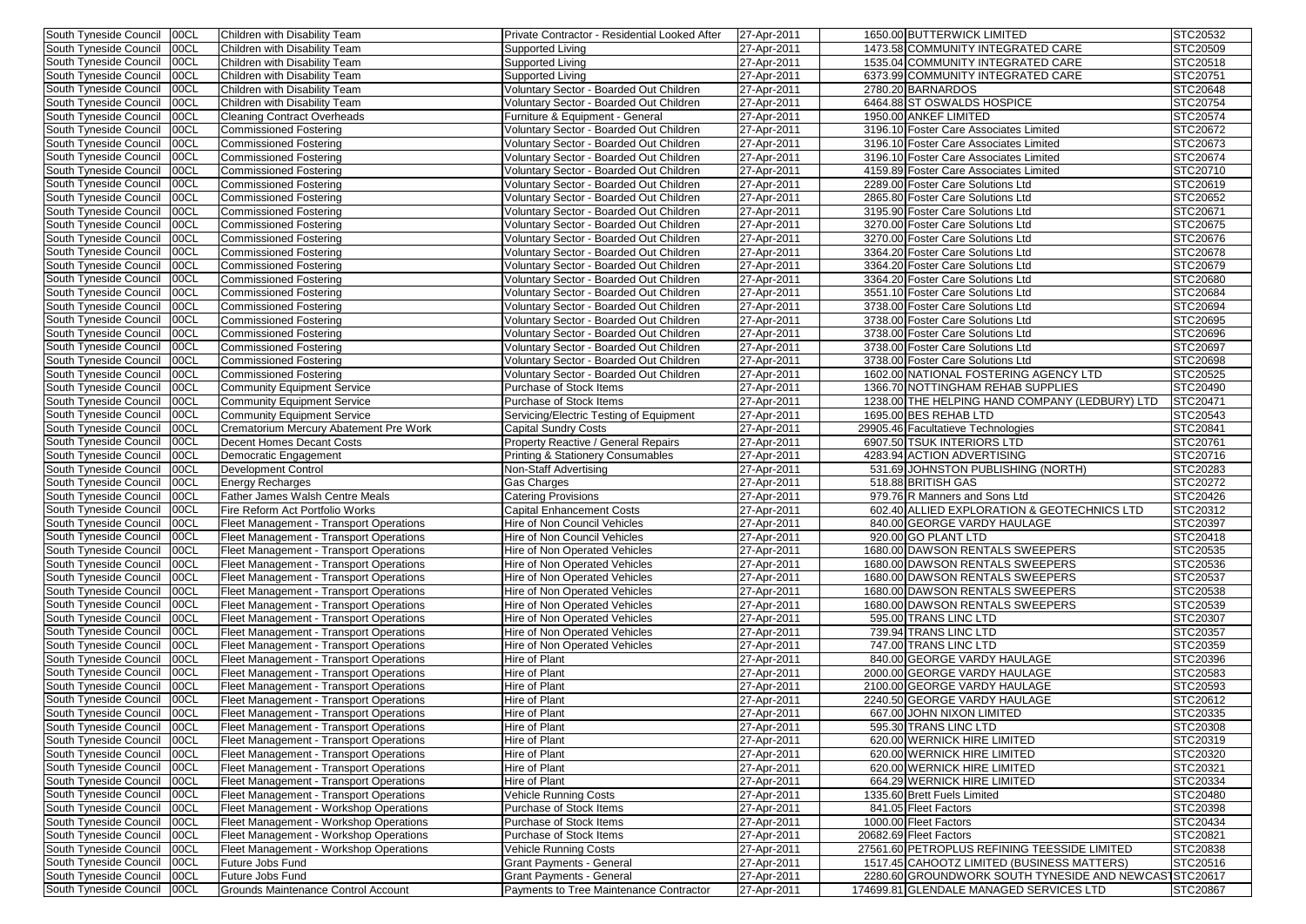| South Tyneside Council   00CL                                |             | Children with Disability Team                                  | Private Contractor - Residential Looked After                              | 27-Apr-2011                | 1650.00 BUTTERWICK LIMITED                                                                       | STC20532        |
|--------------------------------------------------------------|-------------|----------------------------------------------------------------|----------------------------------------------------------------------------|----------------------------|--------------------------------------------------------------------------------------------------|-----------------|
| South Tyneside Council   00CL                                |             | Children with Disability Team                                  | <b>Supported Living</b>                                                    | 27-Apr-2011                | 1473.58 COMMUNITY INTEGRATED CARE                                                                | STC20509        |
| South Tyneside Council   00CL                                |             | Children with Disability Team                                  | <b>Supported Living</b>                                                    | 27-Apr-2011                | 1535.04 COMMUNITY INTEGRATED CARE                                                                | STC20518        |
| South Tyneside Council 00CL                                  |             | Children with Disability Team                                  | <b>Supported Living</b>                                                    | 27-Apr-2011                | 6373.99 COMMUNITY INTEGRATED CARE                                                                | STC20751        |
| South Tyneside Council   00CL                                |             | Children with Disability Team                                  | Voluntary Sector - Boarded Out Children                                    | 27-Apr-2011                | 2780.20 BARNARDOS                                                                                | STC20648        |
| South Tyneside Council                                       | 00CL        | Children with Disability Team                                  | Voluntary Sector - Boarded Out Children                                    | 27-Apr-2011                | 6464.88 ST OSWALDS HOSPICE                                                                       | STC20754        |
| South Tyneside Council                                       | 00CL        | <b>Cleaning Contract Overheads</b>                             | Furniture & Equipment - General                                            | 27-Apr-2011                | 1950.00 ANKEF LIMITED                                                                            | STC20574        |
| South Tyneside Council                                       | 00CL        | <b>Commissioned Fostering</b>                                  | Voluntary Sector - Boarded Out Children                                    | 27-Apr-2011                | 3196.10 Foster Care Associates Limited                                                           | STC20672        |
| South Tyneside Council                                       | 00CL        | <b>Commissioned Fostering</b>                                  | Voluntary Sector - Boarded Out Children                                    | 27-Apr-2011                | 3196.10 Foster Care Associates Limited                                                           | STC20673        |
| South Tyneside Council                                       | 00CL        | <b>Commissioned Fostering</b>                                  | Voluntary Sector - Boarded Out Children                                    | 27-Apr-2011                | 3196.10 Foster Care Associates Limited                                                           | STC20674        |
| South Tyneside Council                                       | 00CL        | <b>Commissioned Fostering</b>                                  | Voluntary Sector - Boarded Out Children                                    | 27-Apr-2011                | 4159.89 Foster Care Associates Limited                                                           | STC20710        |
|                                                              |             |                                                                |                                                                            |                            |                                                                                                  |                 |
| South Tyneside Council                                       | 00CL        | <b>Commissioned Fostering</b>                                  | Voluntary Sector - Boarded Out Children                                    | 27-Apr-2011                | 2289.00 Foster Care Solutions Ltd                                                                | STC20619        |
| South Tyneside Council                                       | 00CL        | <b>Commissioned Fostering</b>                                  | Voluntary Sector - Boarded Out Children                                    | 27-Apr-2011                | 2865.80 Foster Care Solutions Ltd                                                                | STC20652        |
| South Tyneside Council                                       | 00CL        | <b>Commissioned Fostering</b>                                  | Voluntary Sector - Boarded Out Children                                    | 27-Apr-2011                | 3195.90 Foster Care Solutions Ltd                                                                | STC20671        |
| South Tyneside Council                                       | 00CL        | <b>Commissioned Fostering</b>                                  | Voluntary Sector - Boarded Out Children                                    | 27-Apr-2011                | 3270.00 Foster Care Solutions Ltd                                                                | STC20675        |
| South Tyneside Council                                       | 00CL        | <b>Commissioned Fostering</b>                                  | Voluntary Sector - Boarded Out Children                                    | 27-Apr-2011                | 3270.00 Foster Care Solutions Ltd                                                                | STC20676        |
| South Tyneside Council                                       | 00CL        | <b>Commissioned Fostering</b>                                  | Voluntary Sector - Boarded Out Children                                    | 27-Apr-2011                | 3364.20 Foster Care Solutions Ltd                                                                | <b>STC20678</b> |
| South Tyneside Council                                       | 00CL        | <b>Commissioned Fostering</b>                                  | Voluntary Sector - Boarded Out Children                                    | 27-Apr-2011                | 3364.20 Foster Care Solutions Ltd                                                                | STC20679        |
| South Tyneside Council                                       | 00CL        | <b>Commissioned Fostering</b>                                  | Voluntary Sector - Boarded Out Children                                    | 27-Apr-2011                | 3364.20 Foster Care Solutions Ltd                                                                | STC20680        |
| South Tyneside Council                                       | 00CL        | <b>Commissioned Fostering</b>                                  | Voluntary Sector - Boarded Out Children                                    | 27-Apr-2011                | 3551.10 Foster Care Solutions Ltd                                                                | STC20684        |
| South Tyneside Council                                       | 00CL        | <b>Commissioned Fostering</b>                                  | Voluntary Sector - Boarded Out Children                                    | 27-Apr-2011                | 3738.00 Foster Care Solutions Ltd                                                                | STC20694        |
| South Tyneside Council                                       | 00CL        | <b>Commissioned Fostering</b>                                  | Voluntary Sector - Boarded Out Children                                    | 27-Apr-2011                | 3738.00 Foster Care Solutions Ltd                                                                | STC20695        |
| South Tyneside Council                                       | 00CL        | <b>Commissioned Fostering</b>                                  | Voluntary Sector - Boarded Out Children                                    | 27-Apr-2011                | 3738.00 Foster Care Solutions Ltd                                                                | STC20696        |
| South Tyneside Council   00CL                                |             | <b>Commissioned Fostering</b>                                  | Voluntary Sector - Boarded Out Children                                    | 27-Apr-2011                | 3738.00 Foster Care Solutions Ltd                                                                | STC20697        |
| South Tyneside Council                                       | 00CL        | <b>Commissioned Fostering</b>                                  | Voluntary Sector - Boarded Out Children                                    | 27-Apr-2011                | 3738.00 Foster Care Solutions Ltd                                                                | STC20698        |
| South Tyneside Council                                       | 00CL        | <b>Commissioned Fostering</b>                                  | Voluntary Sector - Boarded Out Children                                    | 27-Apr-2011                | 1602.00 NATIONAL FOSTERING AGENCY LTD                                                            | STC20525        |
| South Tyneside Council                                       | 00CL        | <b>Community Equipment Service</b>                             | Purchase of Stock Items                                                    | 27-Apr-2011                | 1366.70 NOTTINGHAM REHAB SUPPLIES                                                                | <b>STC20490</b> |
| South Tyneside Council                                       | 00CL        | <b>Community Equipment Service</b>                             | Purchase of Stock Items                                                    | 27-Apr-2011                | 1238.00 THE HELPING HAND COMPANY (LEDBURY) LTD                                                   | <b>STC20471</b> |
| South Tyneside Council                                       | 00CL        | <b>Community Equipment Service</b>                             | Servicing/Electric Testing of Equipment                                    | 27-Apr-2011                | 1695.00 BES REHAB LTD                                                                            | STC20543        |
| South Tyneside Council                                       | <b>00CL</b> | Crematorium Mercury Abatement Pre Work                         | <b>Capital Sundry Costs</b>                                                | 27-Apr-2011                | 29905.46 Facultatieve Technologies                                                               | STC20841        |
| South Tyneside Council                                       | 00CL        | Decent Homes Decant Costs                                      | Property Reactive / General Repairs                                        | 27-Apr-2011                | 6907.50 TSUK INTERIORS LTD                                                                       | STC20761        |
| South Tyneside Council                                       | 00CL        | Democratic Engagement                                          | Printing & Stationery Consumables                                          | 27-Apr-2011                | 4283.94 ACTION ADVERTISING                                                                       | STC20716        |
|                                                              | 00CL        |                                                                |                                                                            |                            | 531.69 JOHNSTON PUBLISHING (NORTH)                                                               | STC20283        |
| South Tyneside Council                                       |             | <b>Development Control</b>                                     | Non-Staff Advertising                                                      | 27-Apr-2011                |                                                                                                  |                 |
| South Tyneside Council                                       | 00CL        | <b>Energy Recharges</b>                                        | Gas Charges                                                                | 27-Apr-2011                | 518.88 BRITISH GAS                                                                               | STC20272        |
| South Tyneside Council                                       | 00CL        | <b>Father James Walsh Centre Meals</b>                         | Catering Provisions                                                        | 27-Apr-2011                | 979.76 R Manners and Sons Ltd                                                                    | <b>STC20426</b> |
| South Tyneside Council   00CL                                |             | Fire Reform Act Portfolio Works                                | <b>Capital Enhancement Costs</b>                                           | 27-Apr-2011                | 602.40 ALLIED EXPLORATION & GEOTECHNICS LTD                                                      | STC20312        |
| South Tyneside Council   00CL                                |             | Fleet Management - Transport Operations                        | Hire of Non Council Vehicles                                               | 27-Apr-2011                | 840.00 GEORGE VARDY HAULAGE                                                                      | STC20397        |
| South Tyneside Council   00CL                                |             | Fleet Management - Transport Operations                        | Hire of Non Council Vehicles                                               | 27-Apr-2011                | 920.00 GO PLANT LTD                                                                              | STC20418        |
| South Tyneside Council   00CL                                |             | Fleet Management - Transport Operations                        | <b>Hire of Non Operated Vehicles</b>                                       | 27-Apr-2011                | 1680.00 DAWSON RENTALS SWEEPERS                                                                  | STC20535        |
| South Tyneside Council   00CL                                |             | Fleet Management - Transport Operations                        | Hire of Non Operated Vehicles                                              | 27-Apr-2011                | 1680.00 DAWSON RENTALS SWEEPERS                                                                  | STC20536        |
| South Tyneside Council 00CL                                  |             | Fleet Management - Transport Operations                        | <b>Hire of Non Operated Vehicles</b>                                       | 27-Apr-2011                | 1680.00 DAWSON RENTALS SWEEPERS                                                                  | STC20537        |
| South Tyneside Council   00CL                                |             | Fleet Management - Transport Operations                        | Hire of Non Operated Vehicles                                              | 27-Apr-2011                | 1680.00 DAWSON RENTALS SWEEPERS                                                                  | STC20538        |
| South Tyneside Council   00CL                                |             | Fleet Management - Transport Operations                        | Hire of Non Operated Vehicles                                              | 27-Apr-2011                | 1680.00 DAWSON RENTALS SWEEPERS                                                                  | STC20539        |
| South Tyneside Council                                       | 00CL        | Fleet Management - Transport Operations                        | Hire of Non Operated Vehicles                                              | 27-Apr-2011                | 595.00 TRANS LINC LTD                                                                            | STC20307        |
| South Tyneside Council                                       | 00CL        | Fleet Management - Transport Operations                        | Hire of Non Operated Vehicles                                              | 27-Apr-2011                | 739.94 TRANS LINC LTD                                                                            | STC20357        |
| South Tyneside Council   00CL                                |             | Fleet Management - Transport Operations                        | <b>Hire of Non Operated Vehicles</b>                                       | 27-Apr-2011                | 747.00 TRANS LINC LTD                                                                            | STC20359        |
| South Tyneside Council                                       | 00CL        | Fleet Management - Transport Operations                        | Hire of Plant                                                              | 27-Apr-2011                | 840.00 GEORGE VARDY HAULAGE                                                                      | STC20396        |
| South Tyneside Council   00CL                                |             | Fleet Management - Transport Operations                        | Hire of Plant                                                              | 27-Apr-2011                | 2000.00 GEORGE VARDY HAULAGE                                                                     | STC20583        |
| South Tyneside Council   00CL                                |             | Fleet Management - Transport Operations                        | Hire of Plant                                                              | 27-Apr-2011                | 2100.00 GEORGE VARDY HAULAGE                                                                     | STC20593        |
| South Tyneside Council   00CL                                |             | Fleet Management - Transport Operations                        | Hire of Plant                                                              | 27-Apr-2011                | 2240.50 GEORGE VARDY HAULAGE                                                                     | STC20612        |
| South Tyneside Council   00CL                                |             | Fleet Management - Transport Operations                        | Hire of Plant                                                              | 27-Apr-2011                | 667.00 JOHN NIXON LIMITED                                                                        | STC20335        |
| South Tyneside Council   00CL                                |             | Fleet Management - Transport Operations                        | Hire of Plant                                                              | 27-Apr-2011                | 595.30 TRANS LINC LTD                                                                            | STC20308        |
| South Tyneside Council   00CL                                |             | Fleet Management - Transport Operations                        | Hire of Plant                                                              | 27-Apr-2011                | 620.00 WERNICK HIRE LIMITED                                                                      | STC20319        |
| South Tyneside Council   00CL                                |             | Fleet Management - Transport Operations                        | Hire of Plant                                                              | 27-Apr-2011                | 620.00 WERNICK HIRE LIMITED                                                                      | STC20320        |
| South Tyneside Council   00CL                                |             | Fleet Management - Transport Operations                        | Hire of Plant                                                              | 27-Apr-2011                | 620.00 WERNICK HIRE LIMITED                                                                      | STC20321        |
| South Tyneside Council   00CL                                |             | Fleet Management - Transport Operations                        | Hire of Plant                                                              | 27-Apr-2011                | 664.29 WERNICK HIRE LIMITED                                                                      | STC20334        |
| South Tyneside Council   00CL                                |             | Fleet Management - Transport Operations                        | <b>Vehicle Running Costs</b>                                               | 27-Apr-2011                | 1335.60 Brett Fuels Limited                                                                      | STC20480        |
| South Tyneside Council   00CL                                |             | Fleet Management - Workshop Operations                         | Purchase of Stock Items                                                    | 27-Apr-2011                | 841.05 Fleet Factors                                                                             | STC20398        |
| South Tyneside Council   00CL                                |             | Fleet Management - Workshop Operations                         | Purchase of Stock Items                                                    | 27-Apr-2011                | 1000.00 Fleet Factors                                                                            | STC20434        |
| South Tyneside Council                                       | 00CL        | Fleet Management - Workshop Operations                         | Purchase of Stock Items                                                    | 27-Apr-2011                | 20682.69 Fleet Factors                                                                           | STC20821        |
| South Tyneside Council                                       | 00CL        | Fleet Management - Workshop Operations                         | <b>Vehicle Running Costs</b>                                               | 27-Apr-2011                | 27561.60 PETROPLUS REFINING TEESSIDE LIMITED                                                     | STC20838        |
| South Tyneside Council                                       | 00CL        | Future Jobs Fund                                               | <b>Grant Payments - General</b>                                            | 27-Apr-2011                | 1517.45 CAHOOTZ LIMITED (BUSINESS MATTERS)                                                       | STC20516        |
|                                                              |             |                                                                |                                                                            |                            |                                                                                                  |                 |
|                                                              |             |                                                                |                                                                            |                            |                                                                                                  |                 |
| South Tyneside Council   00CL<br>South Tyneside Council 00CL |             | Future Jobs Fund<br><b>Grounds Maintenance Control Account</b> | <b>Grant Payments - General</b><br>Payments to Tree Maintenance Contractor | 27-Apr-2011<br>27-Apr-2011 | 2280.60 GROUNDWORK SOUTH TYNESIDE AND NEWCAS STC20617<br>174699.81 GLENDALE MANAGED SERVICES LTD | STC20867        |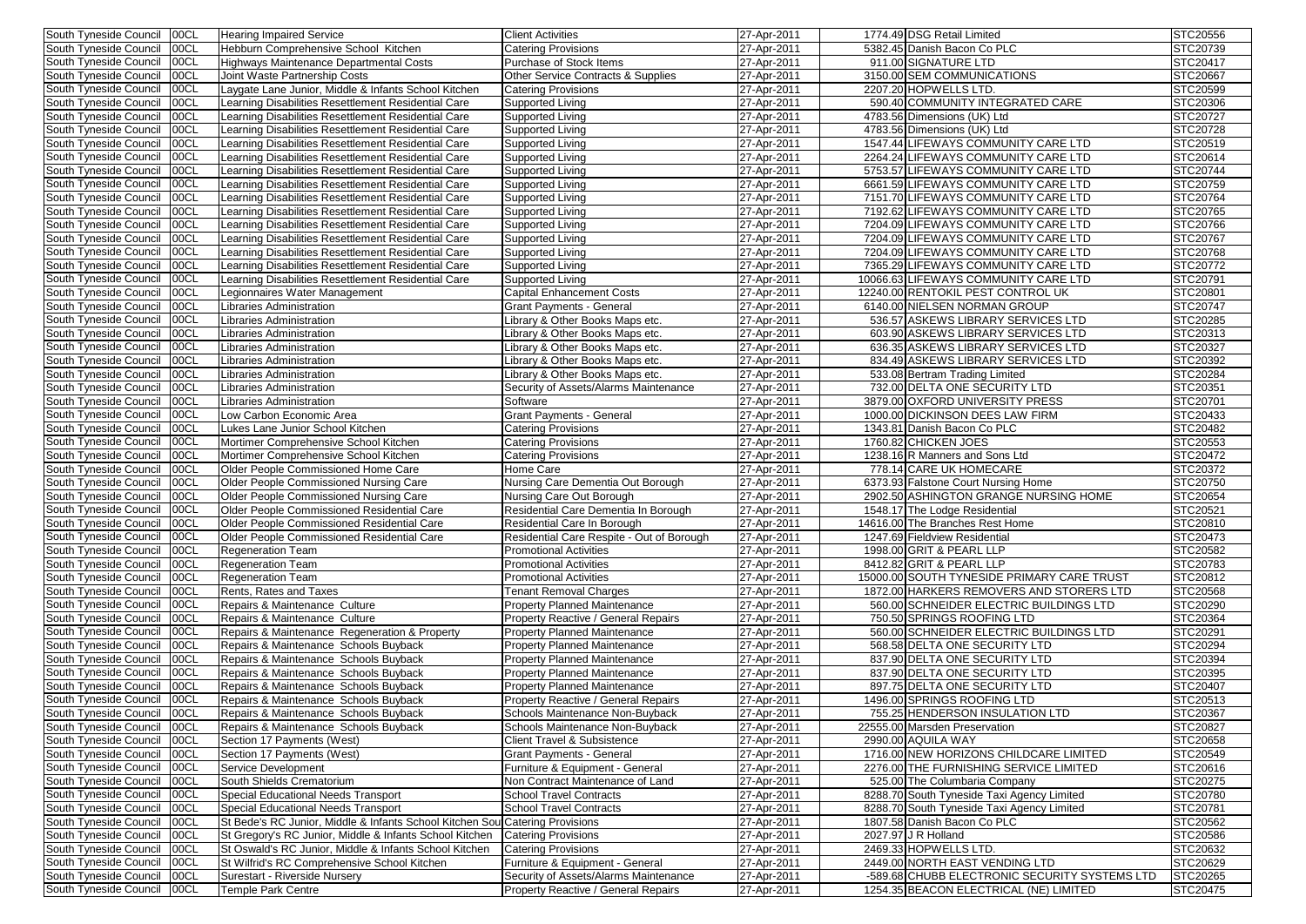| South Tyneside Council        | 00CL  | <b>Hearing Impaired Service</b>                          | <b>Client Activities</b>                      | 27-Apr-2011 | 1774.49 DSG Retail Limited                    | STC20556        |
|-------------------------------|-------|----------------------------------------------------------|-----------------------------------------------|-------------|-----------------------------------------------|-----------------|
| South Tyneside Council        | 00CL  | Hebburn Comprehensive School Kitchen                     | Catering Provisions                           | 27-Apr-2011 | 5382.45 Danish Bacon Co PLC                   | STC20739        |
| South Tyneside Council        | 00CL  | Highways Maintenance Departmental Costs                  | <b>Purchase of Stock Items</b>                | 27-Apr-2011 | 911.00 SIGNATURE LTD                          | STC20417        |
| South Tyneside Council        | 00CL  | Joint Waste Partnership Costs                            | <b>Other Service Contracts &amp; Supplies</b> | 27-Apr-2011 | 3150.00 SEM COMMUNICATIONS                    | <b>STC20667</b> |
| South Tyneside Council        | 00CL  | Laygate Lane Junior, Middle & Infants School Kitchen     | Catering Provisions                           | 27-Apr-2011 | 2207.20 HOPWELLS LTD.                         | STC20599        |
| South Tyneside Council        | 00CL  | Learning Disabilities Resettlement Residential Care      | Supported Living                              | 27-Apr-2011 | 590.40 COMMUNITY INTEGRATED CARE              | STC20306        |
| South Tyneside Council        | 00CL  | Learning Disabilities Resettlement Residential Care      | Supported Living                              | 27-Apr-2011 | 4783.56 Dimensions (UK) Ltd                   | STC20727        |
| South Tyneside Council        | 00CL  | Learning Disabilities Resettlement Residential Care      | Supported Living                              | 27-Apr-2011 | 4783.56 Dimensions (UK) Ltd                   | STC20728        |
| South Tyneside Council        | 00CL  | Learning Disabilities Resettlement Residential Care      | Supported Living                              | 27-Apr-2011 | 1547.44 LIFEWAYS COMMUNITY CARE LTD           | STC20519        |
| South Tyneside Council        | 00CL  | Learning Disabilities Resettlement Residential Care      | Supported Living                              | 27-Apr-2011 | 2264.24 LIFEWAYS COMMUNITY CARE LTD           | STC20614        |
| South Tyneside Council        | 00CL  | Learning Disabilities Resettlement Residential Care      | Supported Living                              | 27-Apr-2011 | 5753.57 LIFEWAYS COMMUNITY CARE LTD           | STC20744        |
| South Tyneside Council        | 00CL  | Learning Disabilities Resettlement Residential Care      | Supported Living                              | 27-Apr-2011 | 6661.59 LIFEWAYS COMMUNITY CARE LTD           | STC20759        |
| South Tyneside Council        | 00CL  | Learning Disabilities Resettlement Residential Care      | Supported Living                              | 27-Apr-2011 | 7151.70 LIFEWAYS COMMUNITY CARE LTD           | STC20764        |
| South Tyneside Council        | 00CL  | Learning Disabilities Resettlement Residential Care      | Supported Living                              | 27-Apr-2011 | 7192.62 LIFEWAYS COMMUNITY CARE LTD           | STC20765        |
| South Tyneside Council        | 00CL  | Learning Disabilities Resettlement Residential Care      | Supported Living                              | 27-Apr-2011 | 7204.09 LIFEWAYS COMMUNITY CARE LTD           | STC20766        |
| South Tyneside Council        | 00CL  | Learning Disabilities Resettlement Residential Care      | Supported Living                              | 27-Apr-2011 | 7204.09 LIFEWAYS COMMUNITY CARE LTD           | STC20767        |
| South Tyneside Council        | 00CL  | Learning Disabilities Resettlement Residential Care      | Supported Living                              | 27-Apr-2011 | 7204.09 LIFEWAYS COMMUNITY CARE LTD           | STC20768        |
| South Tyneside Council        | 00CL  | Learning Disabilities Resettlement Residential Care      | Supported Living                              | 27-Apr-2011 | 7365.29 LIFEWAYS COMMUNITY CARE LTD           | STC20772        |
| South Tyneside Council        | 00CL  | Learning Disabilities Resettlement Residential Care      | Supported Living                              | 27-Apr-2011 | 10066.63 LIFEWAYS COMMUNITY CARE LTD          | STC20791        |
| South Tyneside Council        | 00CL  | Legionnaires Water Management                            | <b>Capital Enhancement Costs</b>              | 27-Apr-2011 | 12240.00 RENTOKIL PEST CONTROL UK             | STC20801        |
| South Tyneside Council        | 00CL  | Libraries Administration                                 | Grant Payments - General                      | 27-Apr-2011 | 6140.00 NIELSEN NORMAN GROUP                  | STC20747        |
| South Tyneside Council        | 00CL  | Libraries Administration                                 | Library & Other Books Maps etc.               | 27-Apr-2011 | 536.57 ASKEWS LIBRARY SERVICES LTD            | STC20285        |
| South Tyneside Council        | 00CL  | Libraries Administration                                 | Library & Other Books Maps etc.               | 27-Apr-2011 | 603.90 ASKEWS LIBRARY SERVICES LTD            | STC20313        |
| South Tyneside Council        | 00CL  | Libraries Administration                                 | ibrary & Other Books Maps etc.                | 27-Apr-2011 | 636.35 ASKEWS LIBRARY SERVICES LTD            | STC20327        |
| South Tyneside Council        | 00CL  | Libraries Administration                                 | ibrary & Other Books Maps etc.                | 27-Apr-2011 | 834.49 ASKEWS LIBRARY SERVICES LTD            | STC20392        |
| South Tyneside Council        | 00CL  | Libraries Administration                                 | Library & Other Books Maps etc.               | 27-Apr-2011 | 533.08 Bertram Trading Limited                | STC20284        |
| South Tyneside Council        | 00CL  | Libraries Administration                                 | Security of Assets/Alarms Maintenance         | 27-Apr-2011 | 732.00 DELTA ONE SECURITY LTD                 | STC20351        |
| South Tyneside Council        | 00CL  | Libraries Administration                                 | Software                                      | 27-Apr-2011 | 3879.00 OXFORD UNIVERSITY PRESS               | STC20701        |
| South Tyneside Council        | 00CL  | Low Carbon Economic Area                                 | <b>Grant Payments - General</b>               | 27-Apr-2011 | 1000.00 DICKINSON DEES LAW FIRM               | STC20433        |
| South Tyneside Council        | 00CL  | Lukes Lane Junior School Kitchen                         |                                               | 27-Apr-2011 | 1343.81 Danish Bacon Co PLC                   | <b>STC20482</b> |
| South Tyneside Council        | 00CL  | Mortimer Comprehensive School Kitchen                    | Catering Provisions<br>Catering Provisions    | 27-Apr-2011 | 1760.82 CHICKEN JOES                          | STC20553        |
| South Tyneside Council        | 00CL  | Mortimer Comprehensive School Kitchen                    | Catering Provisions                           | 27-Apr-2011 | 1238.16 R Manners and Sons Ltd                | STC20472        |
| South Tyneside Council        | 00CL  | Older People Commissioned Home Care                      | Home Care                                     | 27-Apr-2011 | 778.14 CARE UK HOMECARE                       | STC20372        |
| South Tyneside Council        | 00CL  | <b>Older People Commissioned Nursing Care</b>            | Nursing Care Dementia Out Borough             | 27-Apr-2011 | 6373.93 Falstone Court Nursing Home           | STC20750        |
| South Tyneside Council        | 00CL  | Older People Commissioned Nursing Care                   | Nursing Care Out Borough                      | 27-Apr-2011 | 2902.50 ASHINGTON GRANGE NURSING HOME         | STC20654        |
| South Tyneside Council        | 100CL | <b>Older People Commissioned Residential Care</b>        | Residential Care Dementia In Borough          | 27-Apr-2011 | 1548.17 The Lodge Residential                 | STC20521        |
| South Tyneside Council   00CL |       | <b>Older People Commissioned Residential Care</b>        | Residential Care In Borough                   | 27-Apr-2011 | 14616.00 The Branches Rest Home               | STC20810        |
| South Tyneside Council   00CL |       | Older People Commissioned Residential Care               | Residential Care Respite - Out of Borough     | 27-Apr-2011 | 1247.69 Fieldview Residential                 | STC20473        |
| South Tyneside Council   00CL |       | <b>Regeneration Team</b>                                 | <b>Promotional Activities</b>                 | 27-Apr-2011 | 1998.00 GRIT & PEARL LLP                      | STC20582        |
| South Tyneside Council   00CL |       | <b>Regeneration Team</b>                                 | <b>Promotional Activities</b>                 | 27-Apr-2011 | 8412.82 GRIT & PEARL LLP                      | STC20783        |
| South Tyneside Council   00CL |       | <b>Regeneration Team</b>                                 | <b>Promotional Activities</b>                 | 27-Apr-2011 | 15000.00 SOUTH TYNESIDE PRIMARY CARE TRUST    | STC20812        |
| South Tyneside Council   00CL |       | Rents, Rates and Taxes                                   | <b>Tenant Removal Charges</b>                 | 27-Apr-2011 | 1872.00 HARKERS REMOVERS AND STORERS LTD      | STC20568        |
| South Tyneside Council   00CL |       | Repairs & Maintenance Culture                            | <b>Property Planned Maintenance</b>           | 27-Apr-2011 | 560.00 SCHNEIDER ELECTRIC BUILDINGS LTD       | STC20290        |
| South Tyneside Council        | 00CL  | Repairs & Maintenance Culture                            | <b>Property Reactive / General Repairs</b>    | 27-Apr-2011 | 750.50 SPRINGS ROOFING LTD                    | STC20364        |
| South Tyneside Council        | 00CL  | Repairs & Maintenance Regeneration & Property            | <b>Property Planned Maintenance</b>           | 27-Apr-2011 | 560.00 SCHNEIDER ELECTRIC BUILDINGS LTD       | STC20291        |
| South Tyneside Council        | 00CL  | Repairs & Maintenance Schools Buyback                    | <b>Property Planned Maintenance</b>           | 27-Apr-2011 | 568.58 DELTA ONE SECURITY LTD                 | STC20294        |
| South Tyneside Council        | 00CL  | Repairs & Maintenance Schools Buyback                    | <b>Property Planned Maintenance</b>           | 27-Apr-2011 | 837.90 DELTA ONE SECURITY LTD                 | STC20394        |
| South Tyneside Council        | 00CL  | Repairs & Maintenance Schools Buyback                    | <b>Property Planned Maintenance</b>           | 27-Apr-2011 | 837.90 DELTA ONE SECURITY LTD                 | STC20395        |
| South Tyneside Council        | 00CL  | Repairs & Maintenance Schools Buyback                    | <b>Property Planned Maintenance</b>           | 27-Apr-2011 | 897.75 DELTA ONE SECURITY LTD                 | STC20407        |
| South Tyneside Council   00CL |       | Repairs & Maintenance Schools Buyback                    | Property Reactive / General Repairs           | 27-Apr-2011 | 1496.00 SPRINGS ROOFING LTD                   | STC20513        |
| South Tyneside Council   00CL |       | Repairs & Maintenance Schools Buyback                    | Schools Maintenance Non-Buyback               | 27-Apr-2011 | 755.25 HENDERSON INSULATION LTD               | STC20367        |
| South Tyneside Council   00CL |       | Repairs & Maintenance Schools Buyback                    | Schools Maintenance Non-Buyback               | 27-Apr-2011 | 22555.00 Marsden Preservation                 | STC20827        |
| South Tyneside Council        | 00CL  | Section 17 Payments (West)                               | <b>Client Travel &amp; Subsistence</b>        | 27-Apr-2011 | 2990.00 AQUILA WAY                            | STC20658        |
| South Tyneside Council        | 00CL  | Section 17 Payments (West)                               | <b>Grant Payments - General</b>               | 27-Apr-2011 | 1716.00 NEW HORIZONS CHILDCARE LIMITED        | STC20549        |
| South Tyneside Council        | 00CL  | Service Development                                      | Furniture & Equipment - General               | 27-Apr-2011 | 2276.00 THE FURNISHING SERVICE LIMITED        | STC20616        |
| South Tyneside Council        | 00CL  | South Shields Crematorium                                | Non Contract Maintenance of Land              | 27-Apr-2011 | 525.00 The Columbaria Company                 | STC20275        |
| South Tyneside Council        | 00CL  | Special Educational Needs Transport                      | <b>School Travel Contracts</b>                | 27-Apr-2011 | 8288.70 South Tyneside Taxi Agency Limited    | STC20780        |
| South Tyneside Council   00CL |       | Special Educational Needs Transport                      | <b>School Travel Contracts</b>                | 27-Apr-2011 | 8288.70 South Tyneside Taxi Agency Limited    | STC20781        |
| South Tyneside Council   00CL |       | St Bede's RC Junior, Middle & Infants School Kitchen Sou | <b>Catering Provisions</b>                    | 27-Apr-2011 | 1807.58 Danish Bacon Co PLC                   | STC20562        |
| South Tyneside Council        | 00CL  | St Gregory's RC Junior, Middle & Infants School Kitchen  | <b>Catering Provisions</b>                    | 27-Apr-2011 | 2027.97 J R Holland                           | STC20586        |
| South Tyneside Council        | 00CL  | St Oswald's RC Junior, Middle & Infants School Kitchen   | <b>Catering Provisions</b>                    | 27-Apr-2011 | 2469.33 HOPWELLS LTD.                         | STC20632        |
| South Tyneside Council        | 00CL  | St Wilfrid's RC Comprehensive School Kitchen             | Furniture & Equipment - General               | 27-Apr-2011 | 2449.00 NORTH EAST VENDING LTD                | STC20629        |
| South Tyneside Council        | 00CL  | Surestart - Riverside Nursery                            | Security of Assets/Alarms Maintenance         | 27-Apr-2011 | -589.68 CHUBB ELECTRONIC SECURITY SYSTEMS LTD | STC20265        |
| South Tyneside Council   00CL |       | Temple Park Centre                                       | <b>Property Reactive / General Repairs</b>    | 27-Apr-2011 | 1254.35 BEACON ELECTRICAL (NE) LIMITED        | STC20475        |
|                               |       |                                                          |                                               |             |                                               |                 |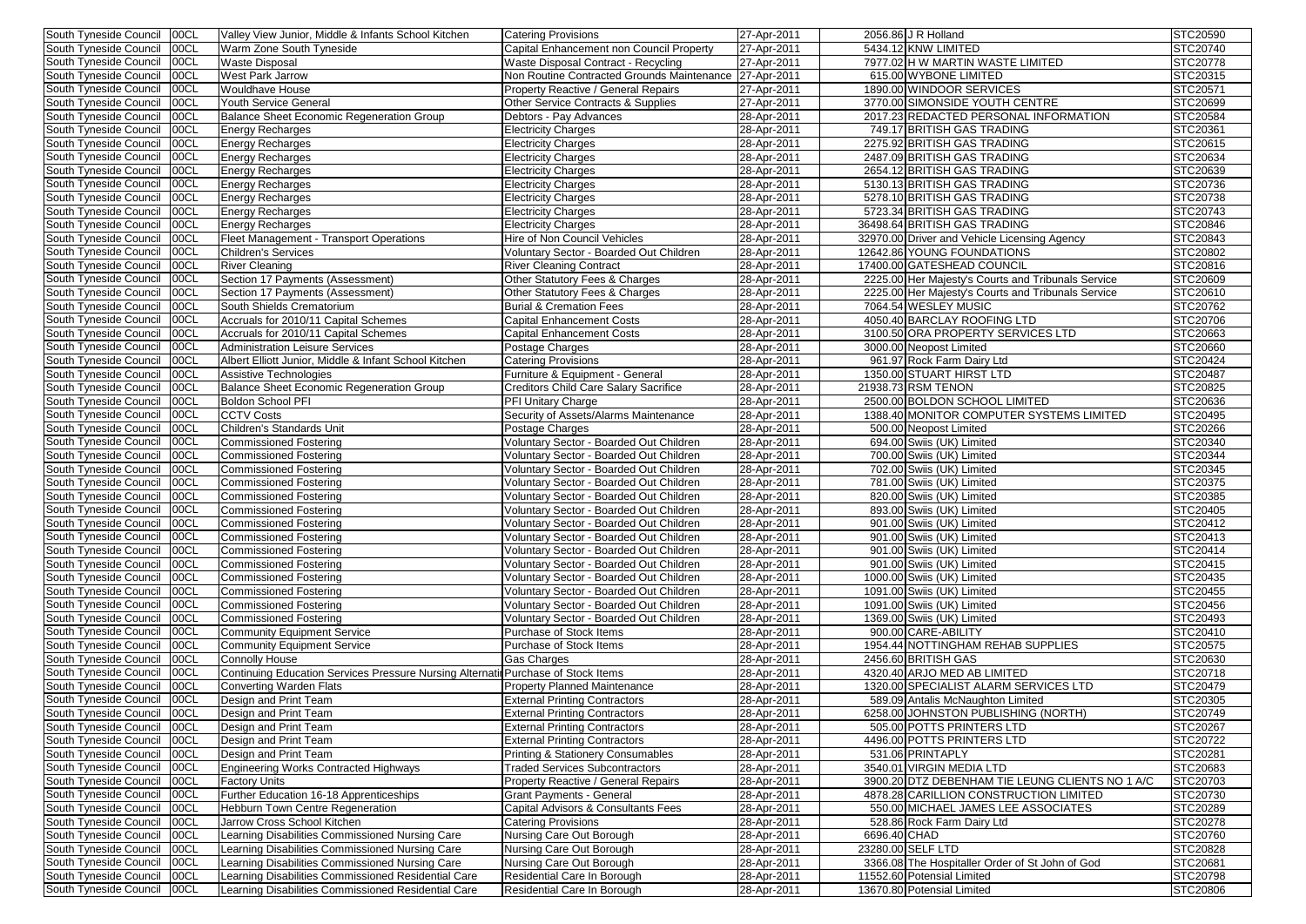| South Tyneside Council        | 00CL  | Valley View Junior, Middle & Infants School Kitchen                               | <b>Catering Provisions</b>                             | 27-Apr-2011           |              | 2056.86 J R Holland                                | STC20590        |
|-------------------------------|-------|-----------------------------------------------------------------------------------|--------------------------------------------------------|-----------------------|--------------|----------------------------------------------------|-----------------|
| South Tyneside Council        | 00CL  | <b>Warm Zone South Tyneside</b>                                                   | Capital Enhancement non Council Property               | 27-Apr-2011           |              | 5434.12 KNW LIMITED                                | STC20740        |
| South Tyneside Council        | 00CL  | <b>Waste Disposal</b>                                                             | Waste Disposal Contract - Recycling                    | $\sqrt{27}$ -Apr-2011 |              | 7977.02 H W MARTIN WASTE LIMITED                   | STC20778        |
| South Tyneside Council        | 00CL  | <b>West Park Jarrow</b>                                                           | Non Routine Contracted Grounds Maintenance 27-Apr-2011 |                       |              | 615.00 WYBONE LIMITED                              | STC20315        |
| South Tyneside Council        | 00CL  | <b>Wouldhave House</b>                                                            | Property Reactive / General Repairs                    | $\sqrt{27}$ -Apr-2011 |              | 1890.00 WINDOOR SERVICES                           | STC20571        |
| South Tyneside Council        | 00CL  | <b>Youth Service General</b>                                                      | <b>Other Service Contracts &amp; Supplies</b>          | 27-Apr-2011           |              | 3770.00 SIMONSIDE YOUTH CENTRE                     | STC20699        |
| South Tyneside Council        | 00CL  | Balance Sheet Economic Regeneration Group                                         | Debtors - Pay Advances                                 | 28-Apr-2011           |              | 2017.23 REDACTED PERSONAL INFORMATION              | STC20584        |
| South Tyneside Council        | 00CL  | <b>Energy Recharges</b>                                                           | <b>Electricity Charges</b>                             | 28-Apr-2011           |              | 749.17 BRITISH GAS TRADING                         | STC20361        |
| South Tyneside Council        | 00CL  | <b>Energy Recharges</b>                                                           | <b>Electricity Charges</b>                             | 28-Apr-2011           |              | 2275.92 BRITISH GAS TRADING                        | STC20615        |
| South Tyneside Council        | 00CL  | <b>Energy Recharges</b>                                                           | <b>Electricity Charges</b>                             | 28-Apr-2011           |              | 2487.09 BRITISH GAS TRADING                        | STC20634        |
| South Tyneside Council        | 00CL  | <b>Energy Recharges</b>                                                           | <b>Electricity Charges</b>                             | 28-Apr-2011           |              | 2654.12 BRITISH GAS TRADING                        | STC20639        |
| South Tyneside Council        | 00CL  | <b>Energy Recharges</b>                                                           | <b>Electricity Charges</b>                             | 28-Apr-2011           |              | 5130.13 BRITISH GAS TRADING                        | STC20736        |
| South Tyneside Council        | 00CL  | <b>Energy Recharges</b>                                                           | Electricity Charges                                    | 28-Apr-2011           |              | 5278.10 BRITISH GAS TRADING                        | STC20738        |
| South Tyneside Council        | 00CL  | <b>Energy Recharges</b>                                                           | Electricity Charges                                    | 28-Apr-2011           |              | 5723.34 BRITISH GAS TRADING                        | STC20743        |
| South Tyneside Council        | 00CL  | <b>Energy Recharges</b>                                                           | <b>Electricity Charges</b>                             | 28-Apr-2011           |              | 36498.64 BRITISH GAS TRADING                       | STC20846        |
| South Tyneside Council        | 00CL  | Fleet Management - Transport Operations                                           | Hire of Non Council Vehicles                           | 28-Apr-2011           |              | 32970.00 Driver and Vehicle Licensing Agency       | STC20843        |
| South Tyneside Council        | 00CL  | <b>Children's Services</b>                                                        | Voluntary Sector - Boarded Out Children                | 28-Apr-2011           |              | 12642.86 YOUNG FOUNDATIONS                         | STC20802        |
| South Tyneside Council        | 00CL  | <b>River Cleaning</b>                                                             | <b>River Cleaning Contract</b>                         | 28-Apr-2011           |              | 17400.00 GATESHEAD COUNCIL                         | STC20816        |
| South Tyneside Council        | 00CL  | Section 17 Payments (Assessment)                                                  | Other Statutory Fees & Charges                         | 28-Apr-2011           |              | 2225.00 Her Majesty's Courts and Tribunals Service | STC20609        |
| South Tyneside Council        | 00CL  | Section 17 Payments (Assessment)                                                  | Other Statutory Fees & Charges                         | 28-Apr-2011           |              | 2225.00 Her Majesty's Courts and Tribunals Service | STC20610        |
| South Tyneside Council        | 00CL  | South Shields Crematorium                                                         | <b>Burial &amp; Cremation Fees</b>                     | 28-Apr-2011           |              | 7064.54 WESLEY MUSIC                               | STC20762        |
| South Tyneside Council        | 00CL  | Accruals for 2010/11 Capital Schemes                                              | <b>Capital Enhancement Costs</b>                       | 28-Apr-2011           |              | 4050.40 BARCLAY ROOFING LTD                        | STC20706        |
| South Tyneside Council        | 00CL  | Accruals for 2010/11 Capital Schemes                                              | <b>Capital Enhancement Costs</b>                       | 28-Apr-2011           |              | 3100.50 ORA PROPERTY SERVICES LTD                  | STC20663        |
| South Tyneside Council        | 00CL  | <b>Administration Leisure Services</b>                                            | Postage Charges                                        | 28-Apr-2011           |              | 3000.00 Neopost Limited                            | <b>STC20660</b> |
| South Tyneside Council        | 00CL  | Albert Elliott Junior, Middle & Infant School Kitchen                             | <b>Catering Provisions</b>                             | 28-Apr-2011           |              | 961.97 Rock Farm Dairy Ltd                         | STC20424        |
| South Tyneside Council        | 00CL  | Assistive Technologies                                                            | Furniture & Equipment - General                        | 28-Apr-2011           |              | 1350.00 STUART HIRST LTD                           | <b>STC20487</b> |
| South Tyneside Council        | 100CL | Balance Sheet Economic Regeneration Group                                         | <b>Creditors Child Care Salary Sacrifice</b>           | 28-Apr-2011           |              | 21938.73 RSM TENON                                 | STC20825        |
| South Tyneside Council        | 00CL  | <b>Boldon School PFI</b>                                                          | PFI Unitary Charge                                     | 28-Apr-2011           |              | 2500.00 BOLDON SCHOOL LIMITED                      | STC20636        |
| South Tyneside Council        | 00CL  | <b>CCTV Costs</b>                                                                 | Security of Assets/Alarms Maintenance                  | 28-Apr-2011           |              | 1388.40 MONITOR COMPUTER SYSTEMS LIMITED           | STC20495        |
| South Tyneside Council        | 00CL  | Children's Standards Unit                                                         | Postage Charges                                        | 28-Apr-2011           |              | 500.00 Neopost Limited                             | STC20266        |
| South Tyneside Council        | 00CL  | <b>Commissioned Fostering</b>                                                     | Voluntary Sector - Boarded Out Children                | 28-Apr-2011           |              | 694.00 Swiis (UK) Limited                          | STC20340        |
| South Tyneside Council        | 00CL  | <b>Commissioned Fostering</b>                                                     | Voluntary Sector - Boarded Out Children                | 28-Apr-2011           |              | 700.00 Swiis (UK) Limited                          | STC20344        |
| South Tyneside Council        | 00CL  | <b>Commissioned Fostering</b>                                                     | Voluntary Sector - Boarded Out Children                | 28-Apr-2011           |              | 702.00 Swiis (UK) Limited                          | STC20345        |
| South Tyneside Council        | 00CL  | <b>Commissioned Fostering</b>                                                     | Voluntary Sector - Boarded Out Children                | 28-Apr-2011           |              | 781.00 Swiis (UK) Limited                          | STC20375        |
| South Tyneside Council        | 00CL  | <b>Commissioned Fostering</b>                                                     | Voluntary Sector - Boarded Out Children                | 28-Apr-2011           |              | 820.00 Swiis (UK) Limited                          | STC20385        |
| South Tyneside Council        | 00CL  | <b>Commissioned Fostering</b>                                                     | Voluntary Sector - Boarded Out Children                | 28-Apr-2011           |              | 893.00 Swiis (UK) Limited                          | STC20405        |
| South Tyneside Council 00CL   |       | Commissioned Fostering                                                            | Voluntary Sector - Boarded Out Children                | 28-Apr-2011           |              | 901.00 Swiis (UK) Limited                          | STC20412        |
| South Tyneside Council   00CL |       | <b>Commissioned Fostering</b>                                                     | Voluntary Sector - Boarded Out Children                | 28-Apr-2011           |              | 901.00 Swiis (UK) Limited                          | STC20413        |
| South Tyneside Council   00CL |       | Commissioned Fostering                                                            | Voluntary Sector - Boarded Out Children                | 28-Apr-2011           |              | 901.00 Swiis (UK) Limited                          | STC20414        |
| South Tyneside Council        | 00CL  | <b>Commissioned Fostering</b>                                                     | Voluntary Sector - Boarded Out Children                | 28-Apr-2011           |              | 901.00 Swiis (UK) Limited                          | STC20415        |
| South Tyneside Council        | 00CL  | <b>Commissioned Fostering</b>                                                     | Voluntary Sector - Boarded Out Children                | 28-Apr-2011           |              | 1000.00 Swiis (UK) Limited                         | STC20435        |
| South Tyneside Council        | 00CL  | <b>Commissioned Fostering</b>                                                     | Voluntary Sector - Boarded Out Children                | 28-Apr-2011           |              | 1091.00 Swiis (UK) Limited                         | STC20455        |
| South Tyneside Council        | 00CL  | <b>Commissioned Fostering</b>                                                     | Voluntary Sector - Boarded Out Children                | 28-Apr-2011           |              | 1091.00 Swiis (UK) Limited                         | STC20456        |
| South Tyneside Council        | 00CL  | <b>Commissioned Fostering</b>                                                     | Voluntary Sector - Boarded Out Children                | 28-Apr-2011           |              | 1369.00 Swiis (UK) Limited                         | STC20493        |
| South Tyneside Council        | 00CL  | <b>Community Equipment Service</b>                                                | Purchase of Stock Items                                | 28-Apr-2011           |              | 900.00 CARE-ABILITY                                | STC20410        |
| South Tyneside Council        | 00CL  | <b>Community Equipment Service</b>                                                | Purchase of Stock Items                                | 28-Apr-2011           |              | 1954.44 NOTTINGHAM REHAB SUPPLIES                  | STC20575        |
| South Tyneside Council        | 00CL  | <b>Connolly House</b>                                                             | <b>Gas Charges</b>                                     | 28-Apr-2011           |              | 2456.60 BRITISH GAS                                | STC20630        |
| South Tyneside Council        | 00CL  | Continuing Education Services Pressure Nursing Alternatil Purchase of Stock Items |                                                        | 28-Apr-2011           |              | 4320.40 ARJO MED AB LIMITED                        | STC20718        |
| South Tyneside Council        | 00CL  | <b>Converting Warden Flats</b>                                                    | <b>Property Planned Maintenance</b>                    | 28-Apr-2011           |              | 1320.00 SPECIALIST ALARM SERVICES LTD              | STC20479        |
| South Tyneside Council        | 00CL  | Design and Print Team                                                             | <b>External Printing Contractors</b>                   | 28-Apr-2011           |              | 589.09 Antalis McNaughton Limited                  | STC20305        |
| South Tyneside Council        | 00CL  | Design and Print Team                                                             | <b>External Printing Contractors</b>                   | 28-Apr-2011           |              | 6258.00 JOHNSTON PUBLISHING (NORTH)                | STC20749        |
| South Tyneside Council        | 00CL  | Design and Print Team                                                             | <b>External Printing Contractors</b>                   | 28-Apr-2011           |              | 505.00 POTTS PRINTERS LTD                          | STC20267        |
| South Tyneside Council        | 00CL  | Design and Print Team                                                             | <b>External Printing Contractors</b>                   | 28-Apr-2011           |              | 4496.00 POTTS PRINTERS LTD                         | STC20722        |
| South Tyneside Council        | 00CL  | Design and Print Team                                                             | <b>Printing &amp; Stationery Consumables</b>           | 28-Apr-2011           |              | 531.06 PRINTAPLY                                   | STC20281        |
| South Tyneside Council        | 00CL  | Engineering Works Contracted Highways                                             | <b>Traded Services Subcontractors</b>                  | 28-Apr-2011           |              | 3540.01 VIRGIN MEDIA LTD                           | STC20683        |
| South Tyneside Council        | 00CL  | <b>Factory Units</b>                                                              | Property Reactive / General Repairs                    | 28-Apr-2011           |              | 3900.20 DTZ DEBENHAM TIE LEUNG CLIENTS NO 1 A/C    | STC20703        |
| South Tyneside Council        | 00CL  | Further Education 16-18 Apprenticeships                                           | Grant Payments - General                               | 28-Apr-2011           |              | 4878.28 CARILLION CONSTRUCTION LIMITED             | STC20730        |
| South Tyneside Council        | 00CL  | <b>Hebburn Town Centre Regeneration</b>                                           | Capital Advisors & Consultants Fees                    | 28-Apr-2011           |              | 550.00 MICHAEL JAMES LEE ASSOCIATES                | STC20289        |
| South Tyneside Council        | 00CL  | Jarrow Cross School Kitchen                                                       | Catering Provisions                                    | 28-Apr-2011           |              | 528.86 Rock Farm Dairy Ltd                         | STC20278        |
| South Tyneside Council        | 00CL  | Learning Disabilities Commissioned Nursing Care                                   | Nursing Care Out Borough                               | 28-Apr-2011           | 6696.40 CHAD |                                                    | STC20760        |
| South Tyneside Council        | 100CL | Learning Disabilities Commissioned Nursing Care                                   | Nursing Care Out Borough                               | 28-Apr-2011           |              | 23280.00 SELF LTD                                  | STC20828        |
| South Tyneside Council        | 00CL  | earning Disabilities Commissioned Nursing Care                                    | Nursing Care Out Borough                               | 28-Apr-2011           |              | 3366.08 The Hospitaller Order of St John of God    | STC20681        |
| South Tyneside Council        | 00CL  | Learning Disabilities Commissioned Residential Care                               | Residential Care In Borough                            | 28-Apr-2011           |              | 11552.60 Potensial Limited                         | <b>STC20798</b> |
| South Tyneside Council   00CL |       | Learning Disabilities Commissioned Residential Care                               | Residential Care In Borough                            | 28-Apr-2011           |              | 13670.80 Potensial Limited                         | STC20806        |